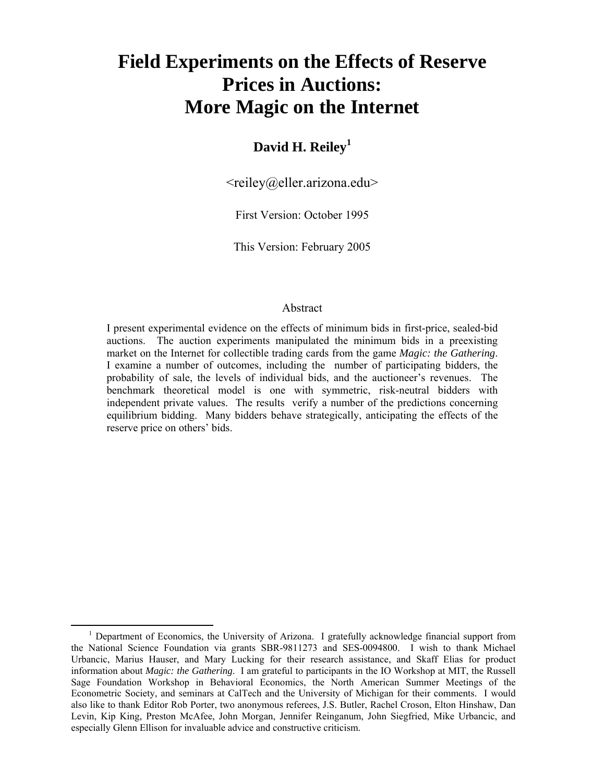# **Field Experiments on the Effects of Reserve Prices in Auctions: More Magic on the Internet**

### **David H. Reiley<sup>1</sup>**

 $\leq$ reiley@eller.arizona.edu>

First Version: October 1995

This Version: February 2005

#### Abstract

I present experimental evidence on the effects of minimum bids in first-price, sealed-bid auctions. The auction experiments manipulated the minimum bids in a preexisting market on the Internet for collectible trading cards from the game *Magic: the Gathering*. I examine a number of outcomes, including the number of participating bidders, the probability of sale, the levels of individual bids, and the auctioneer's revenues. The benchmark theoretical model is one with symmetric, risk-neutral bidders with independent private values. The results verify a number of the predictions concerning equilibrium bidding. Many bidders behave strategically, anticipating the effects of the reserve price on others' bids.

 <sup>1</sup> <sup>1</sup> Department of Economics, the University of Arizona. I gratefully acknowledge financial support from the National Science Foundation via grants SBR-9811273 and SES-0094800. I wish to thank Michael Urbancic, Marius Hauser, and Mary Lucking for their research assistance, and Skaff Elias for product information about *Magic: the Gathering*. I am grateful to participants in the IO Workshop at MIT, the Russell Sage Foundation Workshop in Behavioral Economics, the North American Summer Meetings of the Econometric Society, and seminars at CalTech and the University of Michigan for their comments. I would also like to thank Editor Rob Porter, two anonymous referees, J.S. Butler, Rachel Croson, Elton Hinshaw, Dan Levin, Kip King, Preston McAfee, John Morgan, Jennifer Reinganum, John Siegfried, Mike Urbancic, and especially Glenn Ellison for invaluable advice and constructive criticism.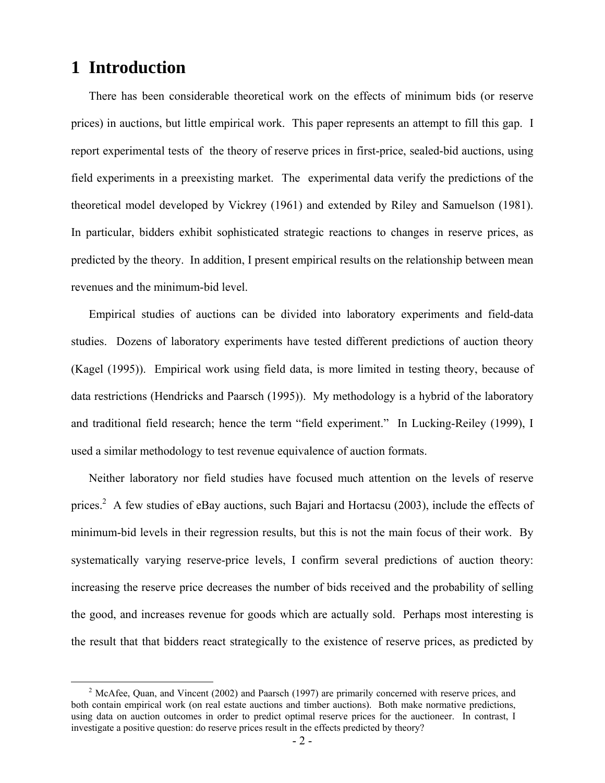## **1 Introduction**

 $\overline{a}$ 

There has been considerable theoretical work on the effects of minimum bids (or reserve prices) in auctions, but little empirical work. This paper represents an attempt to fill this gap. I report experimental tests of the theory of reserve prices in first-price, sealed-bid auctions, using field experiments in a preexisting market. The experimental data verify the predictions of the theoretical model developed by Vickrey (1961) and extended by Riley and Samuelson (1981). In particular, bidders exhibit sophisticated strategic reactions to changes in reserve prices, as predicted by the theory. In addition, I present empirical results on the relationship between mean revenues and the minimum-bid level.

Empirical studies of auctions can be divided into laboratory experiments and field-data studies. Dozens of laboratory experiments have tested different predictions of auction theory (Kagel (1995)). Empirical work using field data, is more limited in testing theory, because of data restrictions (Hendricks and Paarsch (1995)). My methodology is a hybrid of the laboratory and traditional field research; hence the term "field experiment." In Lucking-Reiley (1999), I used a similar methodology to test revenue equivalence of auction formats.

Neither laboratory nor field studies have focused much attention on the levels of reserve prices.<sup>2</sup> A few studies of eBay auctions, such Bajari and Hortacsu (2003), include the effects of minimum-bid levels in their regression results, but this is not the main focus of their work. By systematically varying reserve-price levels, I confirm several predictions of auction theory: increasing the reserve price decreases the number of bids received and the probability of selling the good, and increases revenue for goods which are actually sold. Perhaps most interesting is the result that that bidders react strategically to the existence of reserve prices, as predicted by

<sup>&</sup>lt;sup>2</sup> McAfee, Quan, and Vincent (2002) and Paarsch (1997) are primarily concerned with reserve prices, and both contain empirical work (on real estate auctions and timber auctions). Both make normative predictions, using data on auction outcomes in order to predict optimal reserve prices for the auctioneer. In contrast, I investigate a positive question: do reserve prices result in the effects predicted by theory?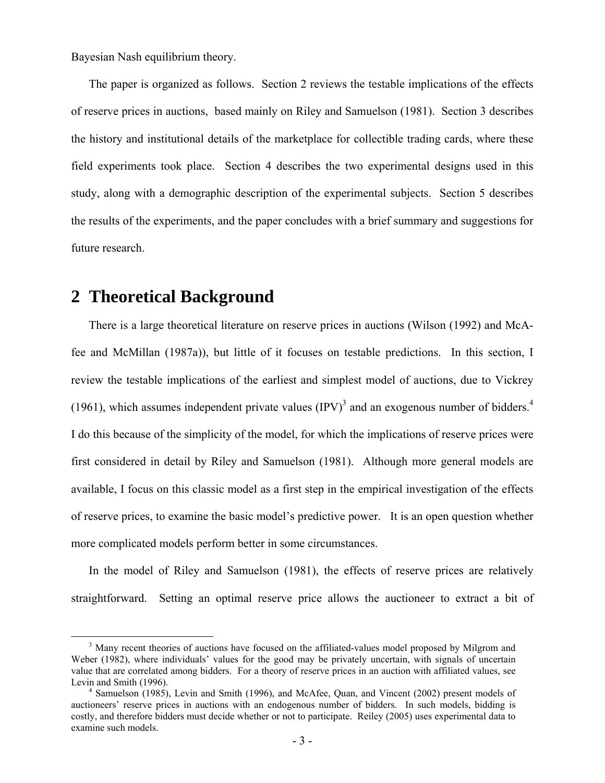Bayesian Nash equilibrium theory.

The paper is organized as follows. Section 2 reviews the testable implications of the effects of reserve prices in auctions, based mainly on Riley and Samuelson (1981). Section 3 describes the history and institutional details of the marketplace for collectible trading cards, where these field experiments took place. Section 4 describes the two experimental designs used in this study, along with a demographic description of the experimental subjects. Section 5 describes the results of the experiments, and the paper concludes with a brief summary and suggestions for future research.

## **2 Theoretical Background**

<u>.</u>

There is a large theoretical literature on reserve prices in auctions (Wilson (1992) and McAfee and McMillan (1987a)), but little of it focuses on testable predictions. In this section, I review the testable implications of the earliest and simplest model of auctions, due to Vickrey (1961), which assumes independent private values  $(IPV)^3$  and an exogenous number of bidders.<sup>4</sup> I do this because of the simplicity of the model, for which the implications of reserve prices were first considered in detail by Riley and Samuelson (1981). Although more general models are available, I focus on this classic model as a first step in the empirical investigation of the effects of reserve prices, to examine the basic model's predictive power. It is an open question whether more complicated models perform better in some circumstances.

In the model of Riley and Samuelson (1981), the effects of reserve prices are relatively straightforward. Setting an optimal reserve price allows the auctioneer to extract a bit of

<sup>&</sup>lt;sup>3</sup> Many recent theories of auctions have focused on the affiliated-values model proposed by Milgrom and Weber (1982), where individuals' values for the good may be privately uncertain, with signals of uncertain value that are correlated among bidders. For a theory of reserve prices in an auction with affiliated values, see Levin and Smith (1996).

<sup>&</sup>lt;sup>4</sup> Samuelson (1985), Levin and Smith (1996), and McAfee, Quan, and Vincent (2002) present models of auctioneers' reserve prices in auctions with an endogenous number of bidders. In such models, bidding is costly, and therefore bidders must decide whether or not to participate. Reiley (2005) uses experimental data to examine such models.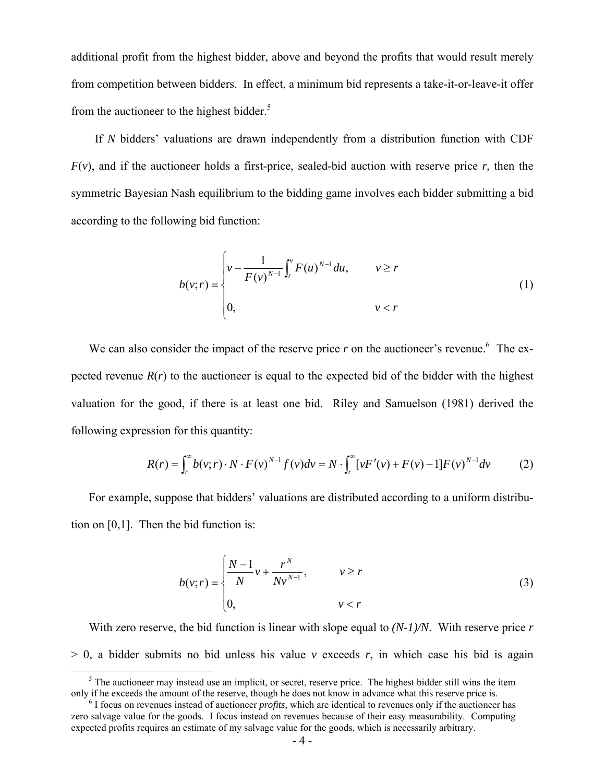additional profit from the highest bidder, above and beyond the profits that would result merely from competition between bidders. In effect, a minimum bid represents a take-it-or-leave-it offer from the auctioneer to the highest bidder.<sup>5</sup>

 If *N* bidders' valuations are drawn independently from a distribution function with CDF  $F(v)$ , and if the auctioneer holds a first-price, sealed-bid auction with reserve price *r*, then the symmetric Bayesian Nash equilibrium to the bidding game involves each bidder submitting a bid according to the following bid function:

$$
b(v;r) = \begin{cases} v - \frac{1}{F(v)^{N-1}} \int_r^v F(u)^{N-1} du, & v \ge r \\ 0, & v < r \end{cases}
$$
 (1)

We can also consider the impact of the reserve price  $r$  on the auctioneer's revenue.<sup>6</sup> The expected revenue  $R(r)$  to the auctioneer is equal to the expected bid of the bidder with the highest valuation for the good, if there is at least one bid. Riley and Samuelson (1981) derived the following expression for this quantity:

$$
R(r) = \int_{r}^{\infty} b(v; r) \cdot N \cdot F(v)^{N-1} f(v) dv = N \cdot \int_{r}^{\infty} [vF'(v) + F(v) - 1] F(v)^{N-1} dv \tag{2}
$$

For example, suppose that bidders' valuations are distributed according to a uniform distribution on [0,1]. Then the bid function is:

$$
b(v;r) = \begin{cases} \frac{N-1}{N}v + \frac{r^N}{Nv^{N-1}}, & v \ge r \\ 0, & v < r \end{cases}
$$
 (3)

With zero reserve, the bid function is linear with slope equal to *(N-1)/N*. With reserve price *r*   $> 0$ , a bidder submits no bid unless his value *v* exceeds *r*, in which case his bid is again

 $rac{1}{5}$  $<sup>5</sup>$  The auctioneer may instead use an implicit, or secret, reserve price. The highest bidder still wins the item</sup> only if he exceeds the amount of the reserve, though he does not know in advance what this reserve price is. 6

I focus on revenues instead of auctioneer *profits* , which are identical to revenues only if the auctioneer has zero salvage value for the goods. I focus instead on revenues because of their easy measurability. Computing expected profits requires an estimate of my salvage value for the goods, which is necessarily arbitrary.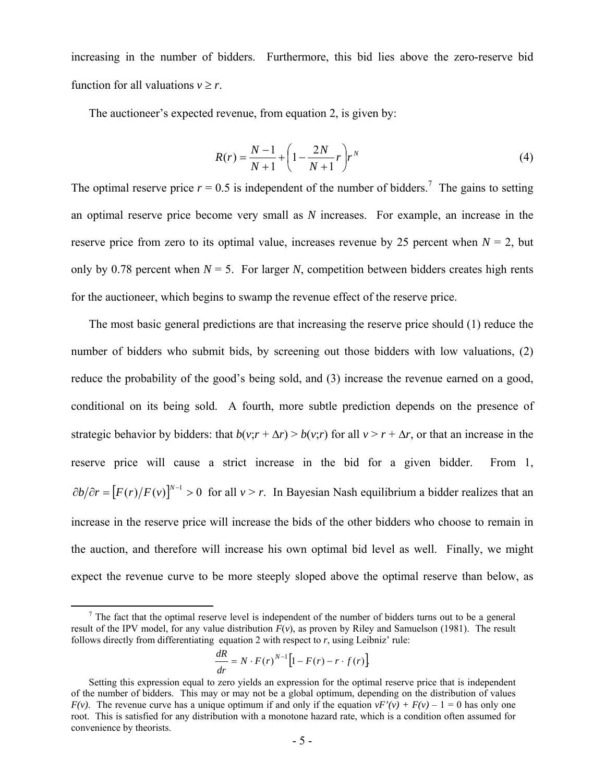increasing in the number of bidders. Furthermore, this bid lies above the zero-reserve bid function for all valuations  $v \ge r$ .

The auctioneer's expected revenue, from equation 2, is given by:

$$
R(r) = \frac{N-1}{N+1} + \left(1 - \frac{2N}{N+1}r\right)r^N
$$
\n(4)

The optimal reserve price  $r = 0.5$  is independent of the number of bidders.<sup>7</sup> The gains to setting an optimal reserve price become very small as *N* increases. For example, an increase in the reserve price from zero to its optimal value, increases revenue by 25 percent when  $N = 2$ , but only by 0.78 percent when  $N = 5$ . For larger *N*, competition between bidders creates high rents for the auctioneer, which begins to swamp the revenue effect of the reserve price.

The most basic general predictions are that increasing the reserve price should (1) reduce the number of bidders who submit bids, by screening out those bidders with low valuations, (2) reduce the probability of the good's being sold, and (3) increase the revenue earned on a good, conditional on its being sold. A fourth, more subtle prediction depends on the presence of strategic behavior by bidders: that  $b(v; r + \Delta r) > b(v; r)$  for all  $v > r + \Delta r$ , or that an increase in the reserve price will cause a strict increase in the bid for a given bidder. From 1,  $[\partial b / \partial r = [F(r) / F(v)]^{N-1} > 0$  for all  $v > r$ . In Bayesian Nash equilibrium a bidder realizes that an increase in the reserve price will increase the bids of the other bidders who choose to remain in the auction, and therefore will increase his own optimal bid level as well. Finally, we might expect the revenue curve to be more steeply sloped above the optimal reserve than below, as

$$
\frac{dR}{dr} = N \cdot F(r)^{N-1} \Big[ 1 - F(r) - r \cdot f(r) \Big].
$$

<sup>&</sup>lt;sup>7</sup> The fact that the optimal reserve level is independent of the number of bidders turns out to be a general result of the IPV model, for any value distribution *F*(*v*), as proven by Riley and Samuelson (1981). The result follows directly from differentiating equation 2 with respect to *r*, using Leibniz' rule:

Setting this expression equal to zero yields an expression for the optimal reserve price that is independent of the number of bidders. This may or may not be a global optimum, depending on the distribution of values *F(v)*. The revenue curve has a unique optimum if and only if the equation  $vF'(v) + F(v) - 1 = 0$  has only one root. This is satisfied for any distribution with a monotone hazard rate, which is a condition often assumed for convenience by theorists.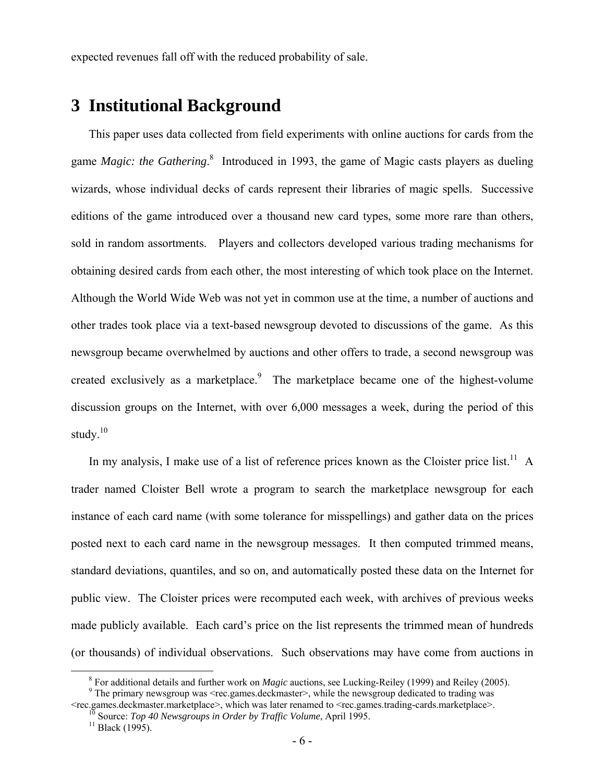expected revenues fall off with the reduced probability of sale.

### **3 Institutional Background**

This paper uses data collected from field experiments with online auctions for cards from the game *Magic: the Gathering*.<sup>8</sup> Introduced in 1993, the game of Magic casts players as dueling wizards, whose individual decks of cards represent their libraries of magic spells. Successive editions of the game introduced over a thousand new card types, some more rare than others, sold in random assortments. Players and collectors developed various trading mechanisms for obtaining desired cards from each other, the most interesting of which took place on the Internet. Although the World Wide Web was not yet in common use at the time, a number of auctions and other trades took place via a text-based newsgroup devoted to discussions of the game. As this newsgroup became overwhelmed by auctions and other offers to trade, a second newsgroup was created exclusively as a marketplace.<sup>9</sup> The marketplace became one of the highest-volume discussion groups on the Internet, with over 6,000 messages a week, during the period of this study. $10$ 

In my analysis, I make use of a list of reference prices known as the Cloister price list.<sup>11</sup> A trader named Cloister Bell wrote a program to search the marketplace newsgroup for each instance of each card name (with some tolerance for misspellings) and gather data on the prices posted next to each card name in the newsgroup messages. It then computed trimmed means, standard deviations, quantiles, and so on, and automatically posted these data on the Internet for public view. The Cloister prices were recomputed each week, with archives of previous weeks made publicly available. Each card's price on the list represents the trimmed mean of hundreds (or thousands) of individual observations. Such observations may have come from auctions in

<sup>&</sup>lt;sup>8</sup> For additional details and further work on *Magic* auctions, see Lucking-Reiley (1999) and Reiley (2005).

<sup>&</sup>lt;sup>9</sup> The primary newsgroup was <rec.games.deckmaster>, while the newsgroup dedicated to trading was <rec.games.deckmaster.marketplace>, which was later renamed to <rec.games.trading-cards.marketplace>. 10 Source: *Top 40 Newsgroups in Order by Traffic Volume*, April 1995. 11 Black (1995).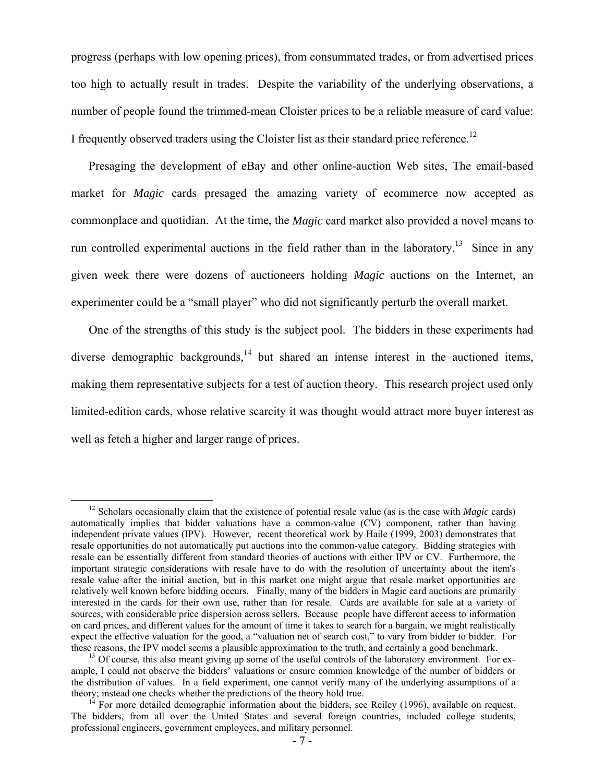progress (perhaps with low opening prices), from consummated trades, or from advertised prices too high to actually result in trades. Despite the variability of the underlying observations, a number of people found the trimmed-mean Cloister prices to be a reliable measure of card value: I frequently observed traders using the Cloister list as their standard price reference.<sup>12</sup>

Presaging the development of eBay and other online-auction Web sites, The email-based market for *Magic* cards presaged the amazing variety of ecommerce now accepted as commonplace and quotidian. At the time, the *Magic* card market also provided a novel means to run controlled experimental auctions in the field rather than in the laboratory.<sup>13</sup> Since in any given week there were dozens of auctioneers holding *Magic* auctions on the Internet, an experimenter could be a "small player" who did not significantly perturb the overall market.

One of the strengths of this study is the subject pool. The bidders in these experiments had diverse demographic backgrounds,<sup>14</sup> but shared an intense interest in the auctioned items, making them representative subjects for a test of auction theory. This research project used only limited-edition cards, whose relative scarcity it was thought would attract more buyer interest as well as fetch a higher and larger range of prices.

<sup>&</sup>lt;sup>12</sup> Scholars occasionally claim that the existence of potential resale value (as is the case with *Magic* cards) automatically implies that bidder valuations have a common-value (CV) component, rather than having independent private values (IPV). However, recent theoretical work by Haile (1999, 2003) demonstrates that resale opportunities do not automatically put auctions into the common-value category. Bidding strategies with resale can be essentially different from standard theories of auctions with either IPV or CV. Furthermore, the important strategic considerations with resale have to do with the resolution of uncertainty about the item's resale value after the initial auction, but in this market one might argue that resale market opportunities are relatively well known before bidding occurs. Finally, many of the bidders in Magic card auctions are primarily interested in the cards for their own use, rather than for resale. Cards are available for sale at a variety of sources, with considerable price dispersion across sellers. Because people have different access to information on card prices, and different values for the amount of time it takes to search for a bargain, we might realistically expect the effective valuation for the good, a "valuation net of search cost," to vary from bidder to bidder. For these reasons, the IPV model seems a plausible approximation to the truth, and certainly a good benchmark. <sup>13</sup> Of course, this also meant giving up some of the useful controls of the laboratory environment. For ex-

ample, I could not observe the bidders' valuations or ensure common knowledge of the number of bidders or the distribution of values. In a field experiment, one cannot verify many of the underlying assumptions of a theory; instead one checks whether the predictions of the theory hold true.

 $t<sup>14</sup>$  For more detailed demographic information about the bidders, see Reiley (1996), available on request. The bidders, from all over the United States and several foreign countries, included college students, professional engineers, government employees, and military personnel.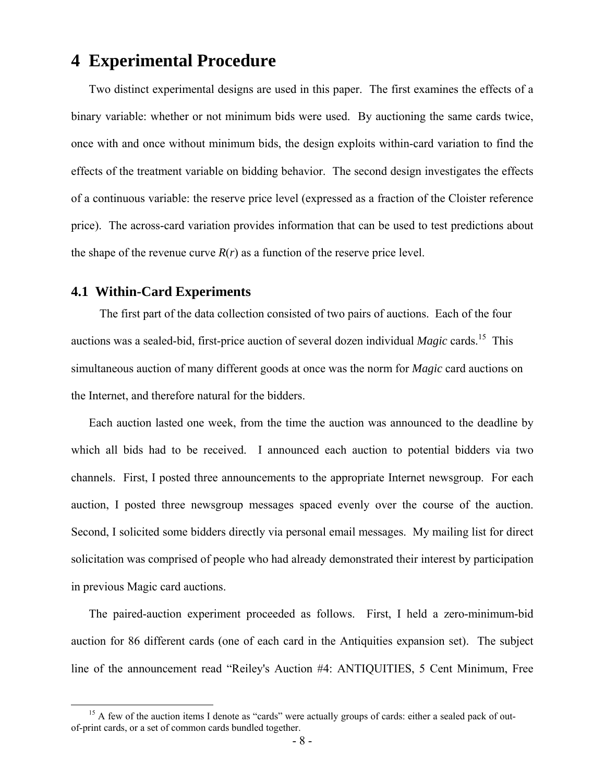### **4 Experimental Procedure**

Two distinct experimental designs are used in this paper. The first examines the effects of a binary variable: whether or not minimum bids were used. By auctioning the same cards twice, once with and once without minimum bids, the design exploits within-card variation to find the effects of the treatment variable on bidding behavior. The second design investigates the effects of a continuous variable: the reserve price level (expressed as a fraction of the Cloister reference price). The across-card variation provides information that can be used to test predictions about the shape of the revenue curve  $R(r)$  as a function of the reserve price level.

#### **4.1 Within-Card Experiments**

 $\overline{a}$ 

 The first part of the data collection consisted of two pairs of auctions. Each of the four auctions was a sealed-bid, first-price auction of several dozen individual *Magic* cards.<sup>15</sup> This simultaneous auction of many different goods at once was the norm for *Magic* card auctions on the Internet, and therefore natural for the bidders.

Each auction lasted one week, from the time the auction was announced to the deadline by which all bids had to be received. I announced each auction to potential bidders via two channels. First, I posted three announcements to the appropriate Internet newsgroup. For each auction, I posted three newsgroup messages spaced evenly over the course of the auction. Second, I solicited some bidders directly via personal email messages. My mailing list for direct solicitation was comprised of people who had already demonstrated their interest by participation in previous Magic card auctions.

The paired-auction experiment proceeded as follows. First, I held a zero-minimum-bid auction for 86 different cards (one of each card in the Antiquities expansion set). The subject line of the announcement read "Reiley's Auction #4: ANTIQUITIES, 5 Cent Minimum, Free

<sup>&</sup>lt;sup>15</sup> A few of the auction items I denote as "cards" were actually groups of cards: either a sealed pack of outof-print cards, or a set of common cards bundled together.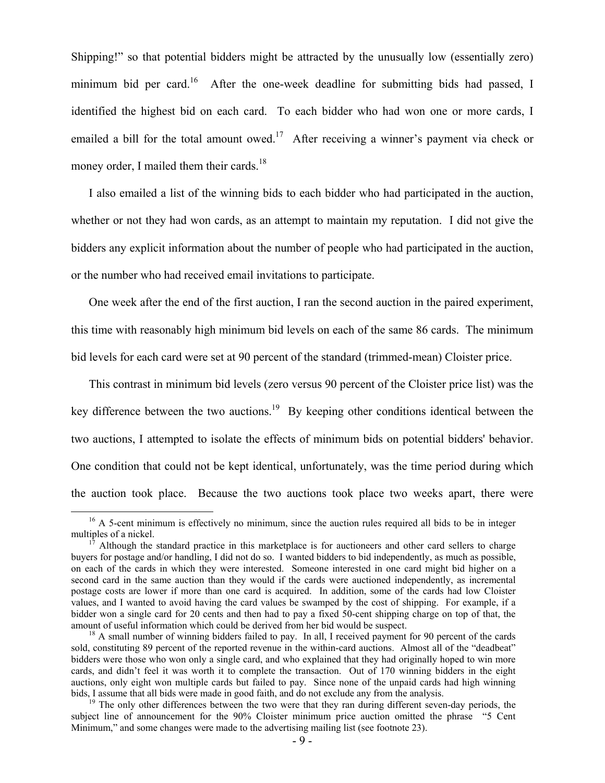Shipping!" so that potential bidders might be attracted by the unusually low (essentially zero) minimum bid per card.<sup>16</sup> After the one-week deadline for submitting bids had passed, I identified the highest bid on each card. To each bidder who had won one or more cards, I emailed a bill for the total amount owed.<sup>17</sup> After receiving a winner's payment via check or money order, I mailed them their cards.<sup>18</sup>

I also emailed a list of the winning bids to each bidder who had participated in the auction, whether or not they had won cards, as an attempt to maintain my reputation. I did not give the bidders any explicit information about the number of people who had participated in the auction, or the number who had received email invitations to participate.

One week after the end of the first auction, I ran the second auction in the paired experiment, this time with reasonably high minimum bid levels on each of the same 86 cards. The minimum bid levels for each card were set at 90 percent of the standard (trimmed-mean) Cloister price.

This contrast in minimum bid levels (zero versus 90 percent of the Cloister price list) was the key difference between the two auctions.<sup>19</sup> By keeping other conditions identical between the two auctions, I attempted to isolate the effects of minimum bids on potential bidders' behavior. One condition that could not be kept identical, unfortunately, was the time period during which the auction took place. Because the two auctions took place two weeks apart, there were

1

 $16$  A 5-cent minimum is effectively no minimum, since the auction rules required all bids to be in integer multiples of a nickel.

 $\alpha$  Although the standard practice in this marketplace is for auctioneers and other card sellers to charge buyers for postage and/or handling, I did not do so. I wanted bidders to bid independently, as much as possible, on each of the cards in which they were interested. Someone interested in one card might bid higher on a second card in the same auction than they would if the cards were auctioned independently, as incremental postage costs are lower if more than one card is acquired. In addition, some of the cards had low Cloister values, and I wanted to avoid having the card values be swamped by the cost of shipping. For example, if a bidder won a single card for 20 cents and then had to pay a fixed 50-cent shipping charge on top of that, the

 $^{18}$  A small number of winning bidders failed to pay. In all, I received payment for 90 percent of the cards sold, constituting 89 percent of the reported revenue in the within-card auctions. Almost all of the "deadbeat" bidders were those who won only a single card, and who explained that they had originally hoped to win more cards, and didn't feel it was worth it to complete the transaction. Out of 170 winning bidders in the eight auctions, only eight won multiple cards but failed to pay. Since none of the unpaid cards had high winning bids, I assume that all bids were made in good faith, and do not exclude any from the analysis.

 $19$  The only other differences between the two were that they ran during different seven-day periods, the subject line of announcement for the 90% Cloister minimum price auction omitted the phrase "5 Cent Minimum," and some changes were made to the advertising mailing list (see footnote 23).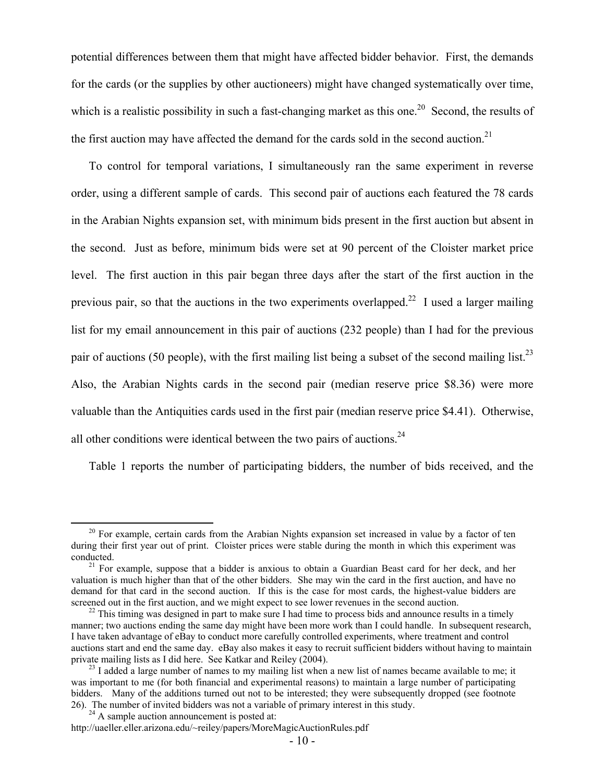potential differences between them that might have affected bidder behavior. First, the demands for the cards (or the supplies by other auctioneers) might have changed systematically over time, which is a realistic possibility in such a fast-changing market as this one.<sup>20</sup> Second, the results of the first auction may have affected the demand for the cards sold in the second auction.<sup>21</sup>

To control for temporal variations, I simultaneously ran the same experiment in reverse order, using a different sample of cards. This second pair of auctions each featured the 78 cards in the Arabian Nights expansion set, with minimum bids present in the first auction but absent in the second. Just as before, minimum bids were set at 90 percent of the Cloister market price level. The first auction in this pair began three days after the start of the first auction in the previous pair, so that the auctions in the two experiments overlapped.<sup>22</sup> I used a larger mailing list for my email announcement in this pair of auctions (232 people) than I had for the previous pair of auctions (50 people), with the first mailing list being a subset of the second mailing list.<sup>23</sup> Also, the Arabian Nights cards in the second pair (median reserve price \$8.36) were more valuable than the Antiquities cards used in the first pair (median reserve price \$4.41). Otherwise, all other conditions were identical between the two pairs of auctions.<sup>24</sup>

Table 1 reports the number of participating bidders, the number of bids received, and the

1

 $20$  For example, certain cards from the Arabian Nights expansion set increased in value by a factor of ten during their first year out of print. Cloister prices were stable during the month in which this experiment was conducted.  $21$  For example, suppose that a bidder is anxious to obtain a Guardian Beast card for her deck, and her

valuation is much higher than that of the other bidders. She may win the card in the first auction, and have no demand for that card in the second auction. If this is the case for most cards, the highest-value bidders are screened out in the first auction, and we might expect to see lower revenues in the second auction.<br><sup>22</sup> This timing was designed in part to make sure I had time to process bids and announce results in a timely

manner; two auctions ending the same day might have been more work than I could handle. In subsequent research, I have taken advantage of eBay to conduct more carefully controlled experiments, where treatment and control auctions start and end the same day. eBay also makes it easy to recruit sufficient bidders without having to maintain private mailing lists as I did here. See Katkar and Reiley (2004).

<sup>&</sup>lt;sup>23</sup> I added a large number of names to my mailing list when a new list of names became available to me; it was important to me (for both financial and experimental reasons) to maintain a large number of participating bidders. Many of the additions turned out not to be interested; they were subsequently dropped (see footnote 26). The number of invited bidders was not a variable of primary interest in this study. 24 A sample auction announcement is posted at:

http://uaeller.eller.arizona.edu/~reiley/papers/MoreMagicAuctionRules.pdf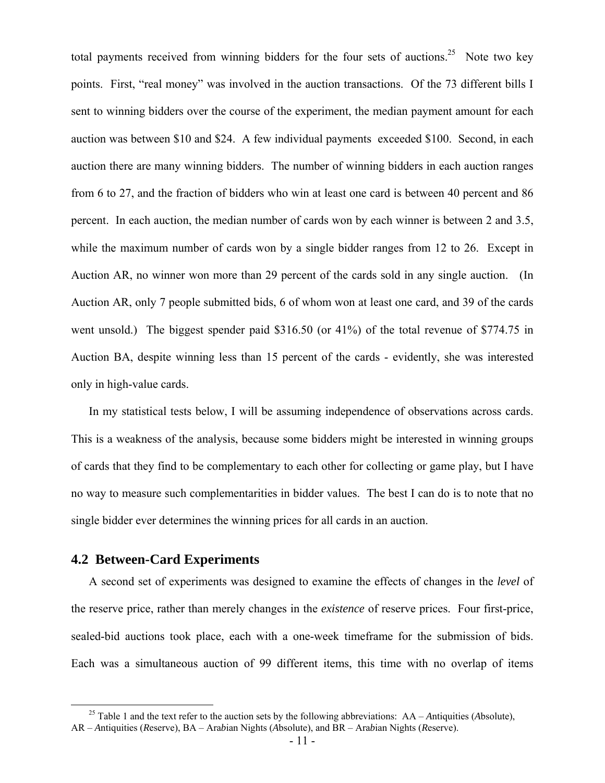total payments received from winning bidders for the four sets of auctions.<sup>25</sup> Note two key points. First, "real money" was involved in the auction transactions. Of the 73 different bills I sent to winning bidders over the course of the experiment, the median payment amount for each auction was between \$10 and \$24. A few individual payments exceeded \$100. Second, in each auction there are many winning bidders. The number of winning bidders in each auction ranges from 6 to 27, and the fraction of bidders who win at least one card is between 40 percent and 86 percent. In each auction, the median number of cards won by each winner is between 2 and 3.5, while the maximum number of cards won by a single bidder ranges from 12 to 26. Except in Auction AR, no winner won more than 29 percent of the cards sold in any single auction. (In Auction AR, only 7 people submitted bids, 6 of whom won at least one card, and 39 of the cards went unsold.) The biggest spender paid \$316.50 (or 41%) of the total revenue of \$774.75 in Auction BA, despite winning less than 15 percent of the cards - evidently, she was interested only in high-value cards.

In my statistical tests below, I will be assuming independence of observations across cards. This is a weakness of the analysis, because some bidders might be interested in winning groups of cards that they find to be complementary to each other for collecting or game play, but I have no way to measure such complementarities in bidder values. The best I can do is to note that no single bidder ever determines the winning prices for all cards in an auction.

#### **4.2 Between-Card Experiments**

 $\overline{a}$ 

A second set of experiments was designed to examine the effects of changes in the *level* of the reserve price, rather than merely changes in the *existence* of reserve prices. Four first-price, sealed-bid auctions took place, each with a one-week timeframe for the submission of bids. Each was a simultaneous auction of 99 different items, this time with no overlap of items

<sup>25</sup> Table 1 and the text refer to the auction sets by the following abbreviations: AA – *A*ntiquities (*A*bsolute), AR – *A*ntiquities (*R*eserve), BA – Ara*b*ian Nights (*A*bsolute), and BR – Ara*b*ian Nights (*R*eserve).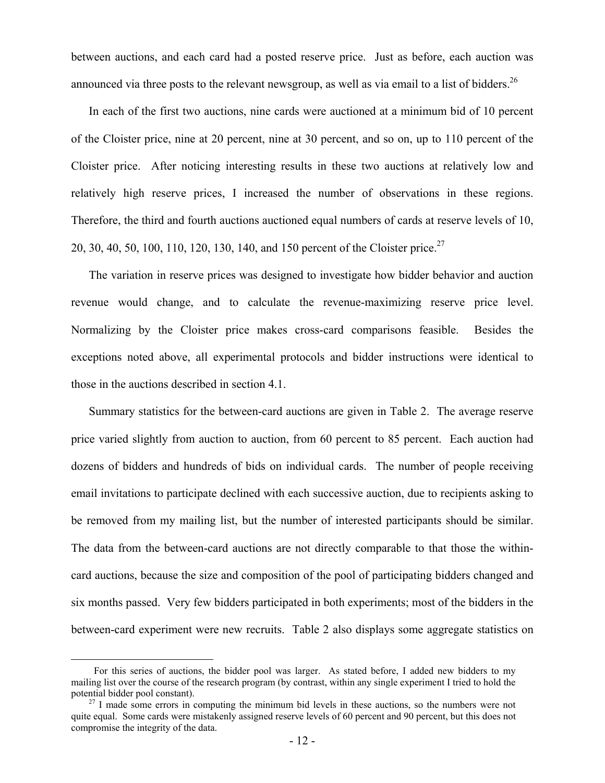between auctions, and each card had a posted reserve price. Just as before, each auction was announced via three posts to the relevant newsgroup, as well as via email to a list of bidders.<sup>26</sup>

In each of the first two auctions, nine cards were auctioned at a minimum bid of 10 percent of the Cloister price, nine at 20 percent, nine at 30 percent, and so on, up to 110 percent of the Cloister price. After noticing interesting results in these two auctions at relatively low and relatively high reserve prices, I increased the number of observations in these regions. Therefore, the third and fourth auctions auctioned equal numbers of cards at reserve levels of 10, 20, 30, 40, 50, 100, 110, 120, 130, 140, and 150 percent of the Cloister price.<sup>27</sup>

The variation in reserve prices was designed to investigate how bidder behavior and auction revenue would change, and to calculate the revenue-maximizing reserve price level. Normalizing by the Cloister price makes cross-card comparisons feasible. Besides the exceptions noted above, all experimental protocols and bidder instructions were identical to those in the auctions described in section 4.1.

Summary statistics for the between-card auctions are given in Table 2. The average reserve price varied slightly from auction to auction, from 60 percent to 85 percent. Each auction had dozens of bidders and hundreds of bids on individual cards. The number of people receiving email invitations to participate declined with each successive auction, due to recipients asking to be removed from my mailing list, but the number of interested participants should be similar. The data from the between-card auctions are not directly comparable to that those the withincard auctions, because the size and composition of the pool of participating bidders changed and six months passed. Very few bidders participated in both experiments; most of the bidders in the between-card experiment were new recruits. Table 2 also displays some aggregate statistics on

1

<sup>2 6</sup> For this series of auctions, the bidder pool was larger. As stated before, I added new bidders to my mailing list over the course of the research program (by contrast, within any single experiment I tried to hold the potential bidder pool constant).

 $^{27}$  I made some errors in computing the minimum bid levels in these auctions, so the numbers were not quite equal. Some cards were mistakenly assigned reserve levels of 60 percent and 90 percent, but this does not compromise the integrity of the data.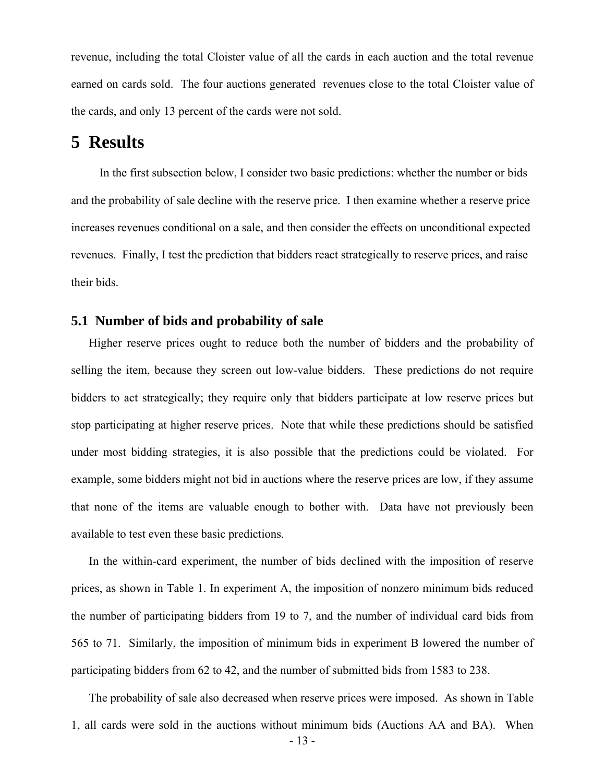revenue, including the total Cloister value of all the cards in each auction and the total revenue earned on cards sold. The four auctions generated revenues close to the total Cloister value of the cards, and only 13 percent of the cards were not sold.

### **5 Results**

 In the first subsection below, I consider two basic predictions: whether the number or bids and the probability of sale decline with the reserve price. I then examine whether a reserve price increases revenues conditional on a sale, and then consider the effects on unconditional expected revenues. Finally, I test the prediction that bidders react strategically to reserve prices, and raise their bids.

#### **5.1 Number of bids and probability of sale**

Higher reserve prices ought to reduce both the number of bidders and the probability of selling the item, because they screen out low-value bidders. These predictions do not require bidders to act strategically; they require only that bidders participate at low reserve prices but stop participating at higher reserve prices. Note that while these predictions should be satisfied under most bidding strategies, it is also possible that the predictions could be violated. For example, some bidders might not bid in auctions where the reserve prices are low, if they assume that none of the items are valuable enough to bother with. Data have not previously been available to test even these basic predictions.

In the within-card experiment, the number of bids declined with the imposition of reserve prices, as shown in Table 1. In experiment A, the imposition of nonzero minimum bids reduced the number of participating bidders from 19 to 7, and the number of individual card bids from 565 to 71. Similarly, the imposition of minimum bids in experiment B lowered the number of participating bidders from 62 to 42, and the number of submitted bids from 1583 to 238.

The probability of sale also decreased when reserve prices were imposed. As shown in Table 1, all cards were sold in the auctions without minimum bids (Auctions AA and BA). When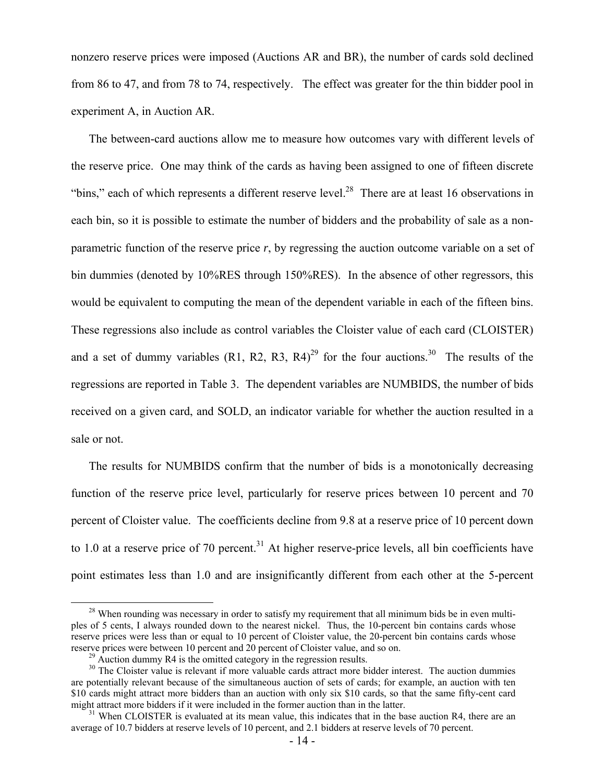nonzero reserve prices were imposed (Auctions AR and BR), the number of cards sold declined from 86 to 47, and from 78 to 74, respectively. The effect was greater for the thin bidder pool in experiment A, in Auction AR.

The between-card auctions allow me to measure how outcomes vary with different levels of the reserve price. One may think of the cards as having been assigned to one of fifteen discrete "bins," each of which represents a different reserve level.<sup>28</sup> There are at least 16 observations in each bin, so it is possible to estimate the number of bidders and the probability of sale as a nonparametric function of the reserve price *r*, by regressing the auction outcome variable on a set of bin dummies (denoted by 10%RES through 150%RES). In the absence of other regressors, this would be equivalent to computing the mean of the dependent variable in each of the fifteen bins. These regressions also include as control variables the Cloister value of each card (CLOISTER) and a set of dummy variables (R1, R2, R3, R4)<sup>29</sup> for the four auctions.<sup>30</sup> The results of the regressions are reported in Table 3. The dependent variables are NUMBIDS, the number of bids received on a given card, and SOLD, an indicator variable for whether the auction resulted in a sale or not.

The results for NUMBIDS confirm that the number of bids is a monotonically decreasing function of the reserve price level, particularly for reserve prices between 10 percent and 70 percent of Cloister value. The coefficients decline from 9.8 at a reserve price of 10 percent down to 1.0 at a reserve price of 70 percent.<sup>31</sup> At higher reserve-price levels, all bin coefficients have point estimates less than 1.0 and are insignificantly different from each other at the 5-percent

<sup>&</sup>lt;sup>28</sup> When rounding was necessary in order to satisfy my requirement that all minimum bids be in even multiples of 5 cents, I always rounded down to the nearest nickel. Thus, the 10-percent bin contains cards whose reserve prices were less than or equal to 10 percent of Cloister value, the 20-percent bin contains cards whose reserve prices were between 10 percent and 20 percent of Cloister value, and so on. 29 Auction dummy R4 is the omitted category in the regression results.

<sup>&</sup>lt;sup>30</sup> The Cloister value is relevant if more valuable cards attract more bidder interest. The auction dummies are potentially relevant because of the simultaneous auction of sets of cards; for example, an auction with ten \$10 cards might attract more bidders than an auction with only six \$10 cards, so that the same fifty-cent card might attract more bidders if it were included in the former auction than in the latter.<br><sup>31</sup> When CLOISTER is evaluated at its mean value, this indicates that in the base auction R4, there are an

average of 10.7 bidders at reserve levels of 10 percent, and 2.1 bidders at reserve levels of 70 percent.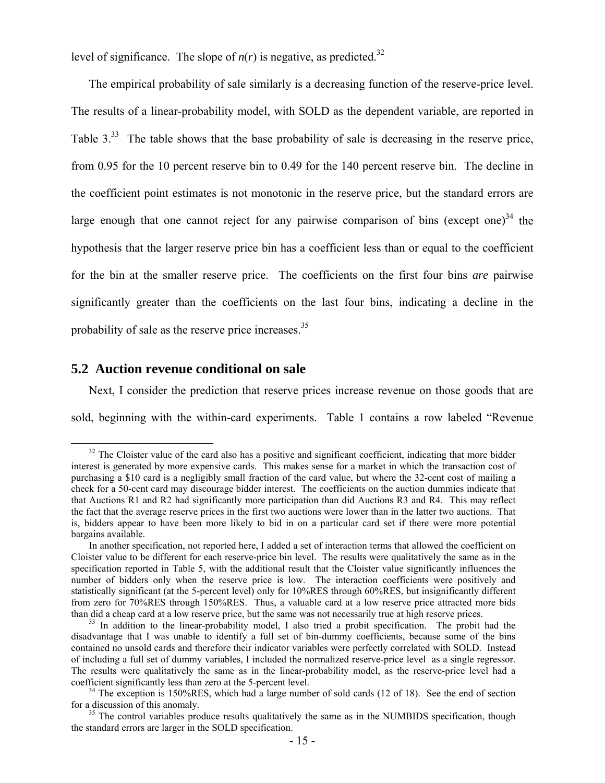level of significance. The slope of  $n(r)$  is negative, as predicted.<sup>32</sup>

The empirical probability of sale similarly is a decreasing function of the reserve-price level. The results of a linear-probability model, with SOLD as the dependent variable, are reported in Table  $3^{33}$  The table shows that the base probability of sale is decreasing in the reserve price, from 0.95 for the 10 percent reserve bin to 0.49 for the 140 percent reserve bin. The decline in the coefficient point estimates is not monotonic in the reserve price, but the standard errors are large enough that one cannot reject for any pairwise comparison of bins (except one)<sup>34</sup> the hypothesis that the larger reserve price bin has a coefficient less than or equal to the coefficient for the bin at the smaller reserve price. The coefficients on the first four bins *are* pairwise significantly greater than the coefficients on the last four bins, indicating a decline in the probability of sale as the reserve price increases.35

#### **5.2 Auction revenue conditional on sale**

1

Next, I consider the prediction that reserve prices increase revenue on those goods that are sold, beginning with the within-card experiments. Table 1 contains a row labeled "Revenue

 $32$  The Cloister value of the card also has a positive and significant coefficient, indicating that more bidder interest is generated by more expensive cards. This makes sense for a market in which the transaction cost of purchasing a \$10 card is a negligibly small fraction of the card value, but where the 32-cent cost of mailing a check for a 50-cent card may discourage bidder interest. The coefficients on the auction dummies indicate that that Auctions R1 and R2 had significantly more participation than did Auctions R3 and R4. This may reflect the fact that the average reserve prices in the first two auctions were lower than in the latter two auctions. That is, bidders appear to have been more likely to bid in on a particular card set if there were more potential bargains available.

In another specification, not reported here, I added a set of interaction terms that allowed the coefficient on Cloister value to be different for each reserve-price bin level. The results were qualitatively the same as in the specification reported in Table 5, with the additional result that the Cloister value significantly influences the number of bidders only when the reserve price is low. The interaction coefficients were positively and statistically significant (at the 5-percent level) only for 10%RES through 60%RES, but insignificantly different from zero for 70%RES through 150%RES. Thus, a valuable card at a low reserve price attracted more bids

than did a cheap card at a low reserve price, but the same was not necessarily true at high reserve prices.<br><sup>33</sup> In addition to the linear-probability model, I also tried a probit specification. The probit had the disadvantage that I was unable to identify a full set of bin-dummy coefficients, because some of the bins contained no unsold cards and therefore their indicator variables were perfectly correlated with SOLD. Instead of including a full set of dummy variables, I included the normalized reserve-price level as a single regressor. The results were qualitatively the same as in the linear-probability model, as the reserve-price level had a coefficient significantly less than zero at the 5-percent level.<br><sup>34</sup> The exception is 150%RES, which had a large number of sold cards (12 of 18). See the end of section

for a discussion of this anomaly.<br><sup>35</sup> The control variables produce results qualitatively the same as in the NUMBIDS specification, though

the standard errors are larger in the SOLD specification.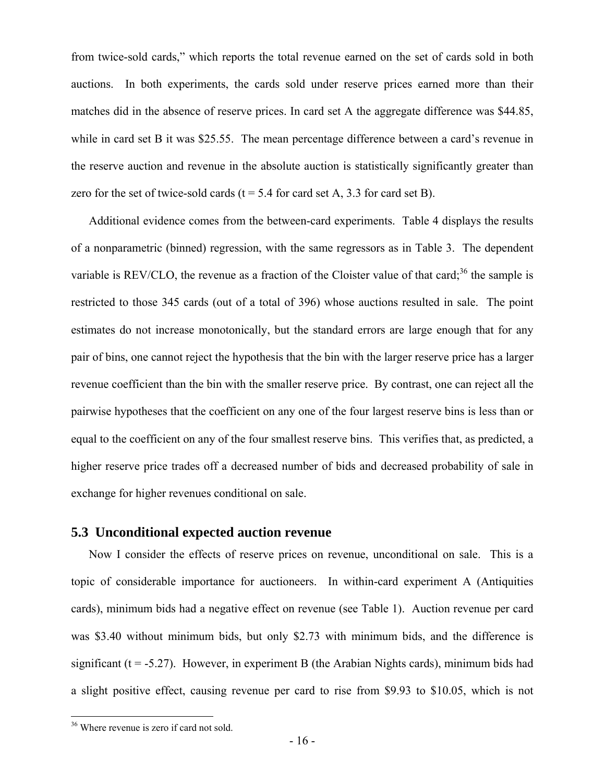from twice-sold cards," which reports the total revenue earned on the set of cards sold in both auctions. In both experiments, the cards sold under reserve prices earned more than their matches did in the absence of reserve prices. In card set A the aggregate difference was \$44.85, while in card set B it was \$25.55. The mean percentage difference between a card's revenue in the reserve auction and revenue in the absolute auction is statistically significantly greater than zero for the set of twice-sold cards  $(t = 5.4$  for card set A, 3.3 for card set B).

Additional evidence comes from the between-card experiments. Table 4 displays the results of a nonparametric (binned) regression, with the same regressors as in Table 3. The dependent variable is REV/CLO, the revenue as a fraction of the Cloister value of that card;<sup>36</sup> the sample is restricted to those 345 cards (out of a total of 396) whose auctions resulted in sale. The point estimates do not increase monotonically, but the standard errors are large enough that for any pair of bins, one cannot reject the hypothesis that the bin with the larger reserve price has a larger revenue coefficient than the bin with the smaller reserve price. By contrast, one can reject all the pairwise hypotheses that the coefficient on any one of the four largest reserve bins is less than or equal to the coefficient on any of the four smallest reserve bins. This verifies that, as predicted, a higher reserve price trades off a decreased number of bids and decreased probability of sale in exchange for higher revenues conditional on sale.

#### **5.3 Unconditional expected auction revenue**

Now I consider the effects of reserve prices on revenue, unconditional on sale. This is a topic of considerable importance for auctioneers. In within-card experiment A (Antiquities cards), minimum bids had a negative effect on revenue (see Table 1). Auction revenue per card was \$3.40 without minimum bids, but only \$2.73 with minimum bids, and the difference is significant ( $t = -5.27$ ). However, in experiment B (the Arabian Nights cards), minimum bids had a slight positive effect, causing revenue per card to rise from \$9.93 to \$10.05, which is not

<sup>&</sup>lt;sup>36</sup> Where revenue is zero if card not sold.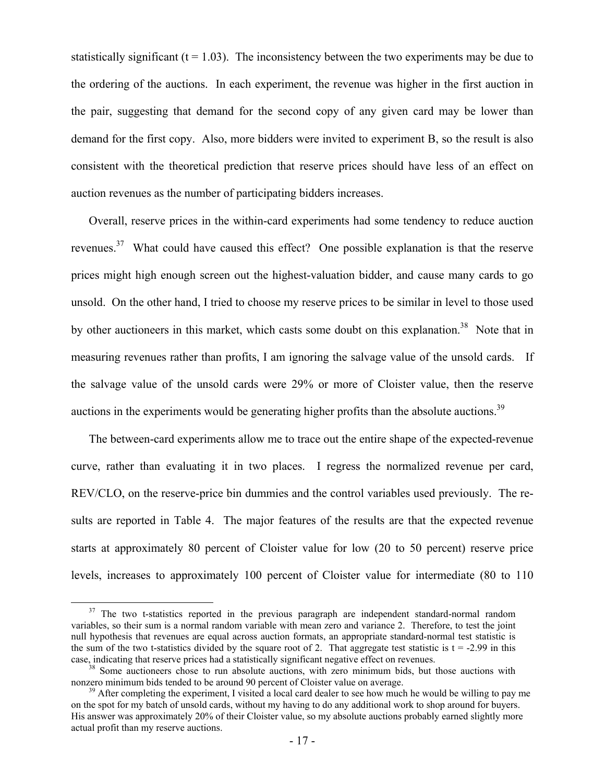statistically significant  $(t = 1.03)$ . The inconsistency between the two experiments may be due to the ordering of the auctions. In each experiment, the revenue was higher in the first auction in the pair, suggesting that demand for the second copy of any given card may be lower than demand for the first copy. Also, more bidders were invited to experiment B, so the result is also consistent with the theoretical prediction that reserve prices should have less of an effect on auction revenues as the number of participating bidders increases.

Overall, reserve prices in the within-card experiments had some tendency to reduce auction revenues.37 What could have caused this effect? One possible explanation is that the reserve prices might high enough screen out the highest-valuation bidder, and cause many cards to go unsold. On the other hand, I tried to choose my reserve prices to be similar in level to those used by other auctioneers in this market, which casts some doubt on this explanation.<sup>38</sup> Note that in measuring revenues rather than profits, I am ignoring the salvage value of the unsold cards. If the salvage value of the unsold cards were 29% or more of Cloister value, then the reserve auctions in the experiments would be generating higher profits than the absolute auctions.<sup>39</sup>

The between-card experiments allow me to trace out the entire shape of the expected-revenue curve, rather than evaluating it in two places. I regress the normalized revenue per card, REV/CLO, on the reserve-price bin dummies and the control variables used previously. The results are reported in Table 4. The major features of the results are that the expected revenue starts at approximately 80 percent of Cloister value for low (20 to 50 percent) reserve price levels, increases to approximately 100 percent of Cloister value for intermediate (80 to 110

<sup>&</sup>lt;sup>37</sup> The two t-statistics reported in the previous paragraph are independent standard-normal random variables, so their sum is a normal random variable with mean zero and variance 2. Therefore, to test the joint null hypothesis that revenues are equal across auction formats, an appropriate standard-normal test statistic is the sum of the two t-statistics divided by the square root of 2. That aggregate test statistic is  $t = -2.99$  in this case, indicating that reserve prices had a statistically significant negative effect on revenues.

<sup>&</sup>lt;sup>38</sup> Some auctioneers chose to run absolute auctions, with zero minimum bids, but those auctions with nonzero minimum bids tended to be around 90 percent of Cloister value on average.<br><sup>39</sup> After completing the experiment, I visited a local card dealer to see how much he would be willing to pay me

on the spot for my batch of unsold cards, without my having to do any additional work to shop around for buyers. His answer was approximately 20% of their Cloister value, so my absolute auctions probably earned slightly more actual profit than my reserve auctions.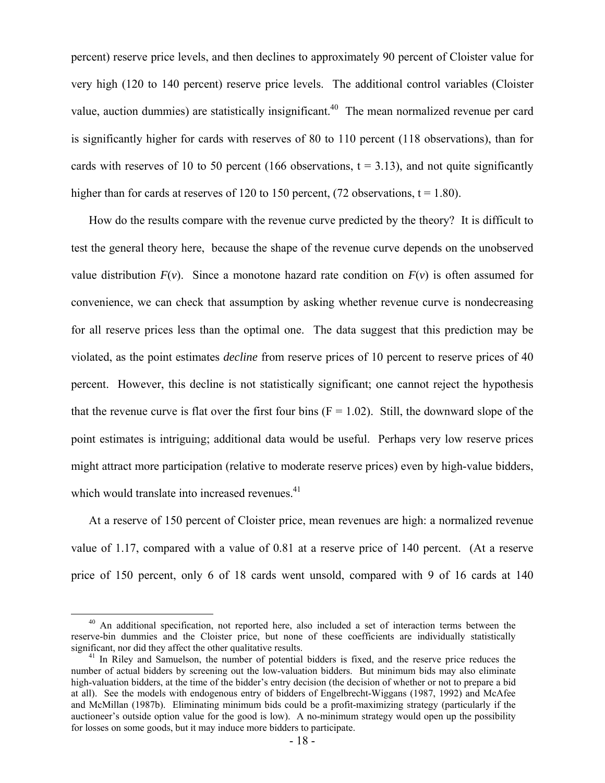percent) reserve price levels, and then declines to approximately 90 percent of Cloister value for very high (120 to 140 percent) reserve price levels. The additional control variables (Cloister value, auction dummies) are statistically insignificant.<sup>40</sup> The mean normalized revenue per card is significantly higher for cards with reserves of 80 to 110 percent (118 observations), than for cards with reserves of 10 to 50 percent (166 observations,  $t = 3.13$ ), and not quite significantly higher than for cards at reserves of 120 to 150 percent, (72 observations,  $t = 1.80$ ).

How do the results compare with the revenue curve predicted by the theory? It is difficult to test the general theory here, because the shape of the revenue curve depends on the unobserved value distribution  $F(v)$ . Since a monotone hazard rate condition on  $F(v)$  is often assumed for convenience, we can check that assumption by asking whether revenue curve is nondecreasing for all reserve prices less than the optimal one. The data suggest that this prediction may be violated, as the point estimates *decline* from reserve prices of 10 percent to reserve prices of 40 percent. However, this decline is not statistically significant; one cannot reject the hypothesis that the revenue curve is flat over the first four bins  $(F = 1.02)$ . Still, the downward slope of the point estimates is intriguing; additional data would be useful. Perhaps very low reserve prices might attract more participation (relative to moderate reserve prices) even by high-value bidders, which would translate into increased revenues. $41$ 

At a reserve of 150 percent of Cloister price, mean revenues are high: a normalized revenue value of 1.17, compared with a value of 0.81 at a reserve price of 140 percent. (At a reserve price of 150 percent, only 6 of 18 cards went unsold, compared with 9 of 16 cards at 140

<sup>&</sup>lt;sup>40</sup> An additional specification, not reported here, also included a set of interaction terms between the reserve-bin dummies and the Cloister price, but none of these coefficients are individually statistically significant, nor did they affect the other qualitative results.

 $41$  In Riley and Samuelson, the number of potential bidders is fixed, and the reserve price reduces the number of actual bidders by screening out the low-valuation bidders. But minimum bids may also eliminate high-valuation bidders, at the time of the bidder's entry decision (the decision of whether or not to prepare a bid at all). See the models with endogenous entry of bidders of Engelbrecht-Wiggans (1987, 1992) and McAfee and McMillan (1987b). Eliminating minimum bids could be a profit-maximizing strategy (particularly if the auctioneer's outside option value for the good is low). A no-minimum strategy would open up the possibility for losses on some goods, but it may induce more bidders to participate.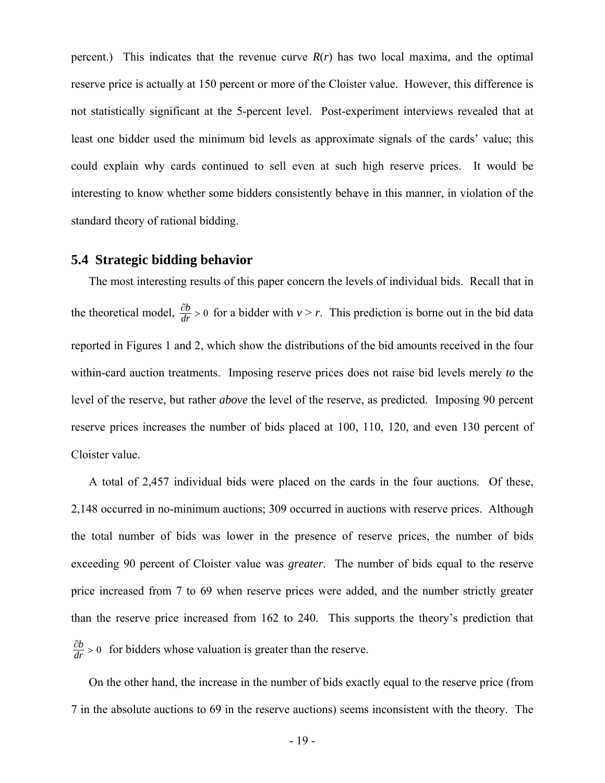percent.) This indicates that the revenue curve  $R(r)$  has two local maxima, and the optimal reserve price is actually at 150 percent or more of the Cloister value. However, this difference is not statistically significant at the 5-percent level. Post-experiment interviews revealed that at least one bidder used the minimum bid levels as approximate signals of the cards' value; this could explain why cards continued to sell even at such high reserve prices. It would be interesting to know whether some bidders consistently behave in this manner, in violation of the standard theory of rational bidding.

#### **5.4 Strategic bidding behavior**

The most interesting results of this paper concern the levels of individual bids. Recall that in the theoretical model,  $\frac{\partial b}{\partial r} > 0$  for a bidder with  $v > r$ . This prediction is borne out in the bid data reported in Figures 1 and 2, which show the distributions of the bid amounts received in the four within-card auction treatments. Imposing reserve prices does not raise bid levels merely *to* the level of the reserve, but rather *above* the level of the reserve, as predicted. Imposing 90 percent reserve prices increases the number of bids placed at 100, 110, 120, and even 130 percent of Cloister value.

A total of 2,457 individual bids were placed on the cards in the four auctions. Of these, 2,148 occurred in no-minimum auctions; 309 occurred in auctions with reserve prices. Although the total number of bids was lower in the presence of reserve prices, the number of bids exceeding 90 percent of Cloister value was *greater*. The number of bids equal to the reserve price increased from 7 to 69 when reserve prices were added, and the number strictly greater than the reserve price increased from 162 to 240. This supports the theory's prediction that  $\frac{\partial b}{\partial r} > 0$  for bidders whose valuation is greater than the reserve.

On the other hand, the increase in the number of bids exactly equal to the reserve price (from 7 in the absolute auctions to 69 in the reserve auctions) seems inconsistent with the theory. The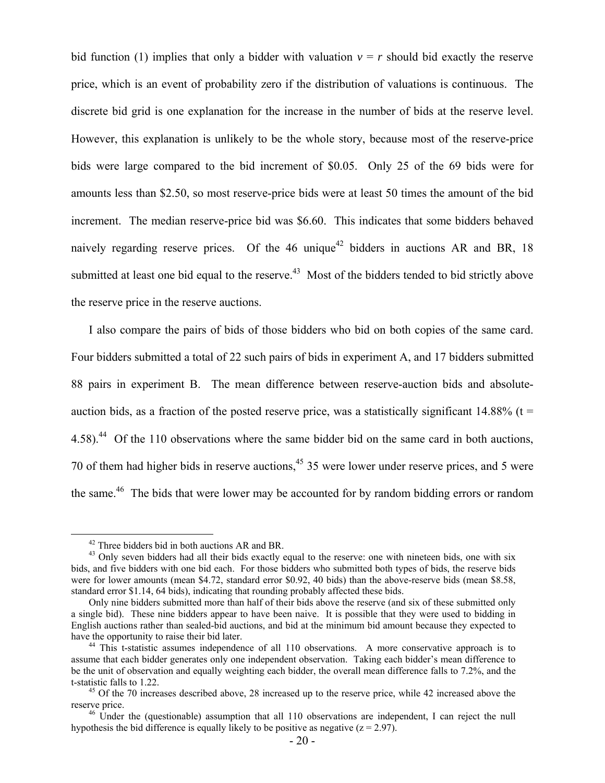bid function (1) implies that only a bidder with valuation  $v = r$  should bid exactly the reserve price, which is an event of probability zero if the distribution of valuations is continuous. The discrete bid grid is one explanation for the increase in the number of bids at the reserve level. However, this explanation is unlikely to be the whole story, because most of the reserve-price bids were large compared to the bid increment of \$0.05. Only 25 of the 69 bids were for amounts less than \$2.50, so most reserve-price bids were at least 50 times the amount of the bid increment. The median reserve-price bid was \$6.60. This indicates that some bidders behaved naively regarding reserve prices. Of the 46 unique<sup>42</sup> bidders in auctions AR and BR, 18 submitted at least one bid equal to the reserve.<sup>43</sup> Most of the bidders tended to bid strictly above the reserve price in the reserve auctions.

I also compare the pairs of bids of those bidders who bid on both copies of the same card. Four bidders submitted a total of 22 such pairs of bids in experiment A, and 17 bidders submitted 88 pairs in experiment B. The mean difference between reserve-auction bids and absoluteauction bids, as a fraction of the posted reserve price, was a statistically significant  $14.88\%$  (t = 4.58).<sup>44</sup> Of the 110 observations where the same bidder bid on the same card in both auctions, 70 of them had higher bids in reserve auctions,<sup>45</sup> 35 were lower under reserve prices, and 5 were the same.<sup>46</sup> The bids that were lower may be accounted for by random bidding errors or random

<sup>&</sup>lt;sup>42</sup> Three bidders bid in both auctions AR and BR.

<sup>&</sup>lt;sup>43</sup> Only seven bidders had all their bids exactly equal to the reserve: one with nineteen bids, one with six bids, and five bidders with one bid each. For those bidders who submitted both types of bids, the reserve bids were for lower amounts (mean \$4.72, standard error \$0.92, 40 bids) than the above-reserve bids (mean \$8.58, standard error \$1.14, 64 bids), indicating that rounding probably affected these bids.

Only nine bidders submitted more than half of their bids above the reserve (and six of these submitted only a single bid). These nine bidders appear to have been naive. It is possible that they were used to bidding in English auctions rather than sealed-bid auctions, and bid at the minimum bid amount because they expected to

 $44$  This t-statistic assumes independence of all 110 observations. A more conservative approach is to assume that each bidder generates only one independent observation. Taking each bidder's mean difference to be the unit of observation and equally weighting each bidder, the overall mean difference falls to 7.2%, and the t-statistic falls to 1.22.<br><sup>45</sup> Of the 70 increases described above, 28 increased up to the reserve price, while 42 increased above the

reserve price. 46 Under the (questionable) assumption that all 110 observations are independent, I can reject the null hypothesis the bid difference is equally likely to be positive as negative  $(z = 2.97)$ .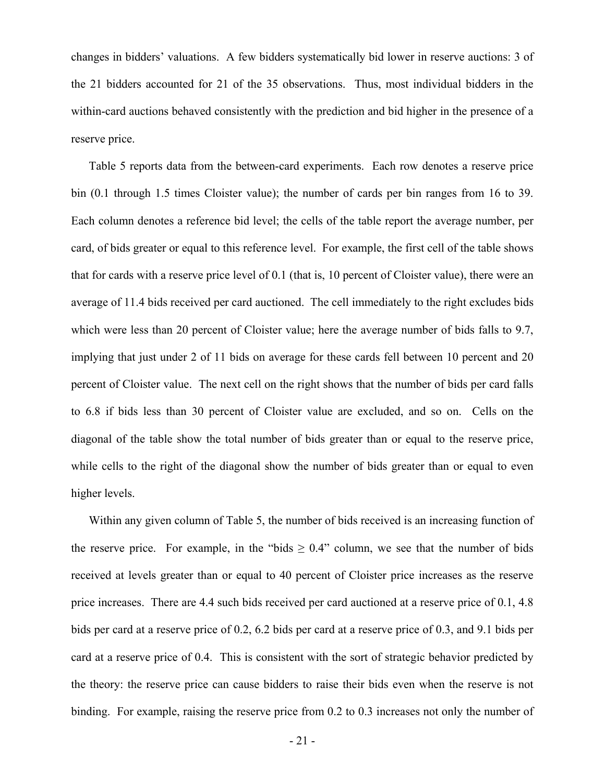changes in bidders' valuations. A few bidders systematically bid lower in reserve auctions: 3 of the 21 bidders accounted for 21 of the 35 observations. Thus, most individual bidders in the within-card auctions behaved consistently with the prediction and bid higher in the presence of a reserve price.

Table 5 reports data from the between-card experiments. Each row denotes a reserve price bin (0.1 through 1.5 times Cloister value); the number of cards per bin ranges from 16 to 39. Each column denotes a reference bid level; the cells of the table report the average number, per card, of bids greater or equal to this reference level. For example, the first cell of the table shows that for cards with a reserve price level of 0.1 (that is, 10 percent of Cloister value), there were an average of 11.4 bids received per card auctioned. The cell immediately to the right excludes bids which were less than 20 percent of Cloister value; here the average number of bids falls to 9.7, implying that just under 2 of 11 bids on average for these cards fell between 10 percent and 20 percent of Cloister value. The next cell on the right shows that the number of bids per card falls to 6.8 if bids less than 30 percent of Cloister value are excluded, and so on. Cells on the diagonal of the table show the total number of bids greater than or equal to the reserve price, while cells to the right of the diagonal show the number of bids greater than or equal to even higher levels.

Within any given column of Table 5, the number of bids received is an increasing function of the reserve price. For example, in the "bids  $\geq 0.4$ " column, we see that the number of bids received at levels greater than or equal to 40 percent of Cloister price increases as the reserve price increases. There are 4.4 such bids received per card auctioned at a reserve price of 0.1, 4.8 bids per card at a reserve price of 0.2, 6.2 bids per card at a reserve price of 0.3, and 9.1 bids per card at a reserve price of 0.4. This is consistent with the sort of strategic behavior predicted by the theory: the reserve price can cause bidders to raise their bids even when the reserve is not binding. For example, raising the reserve price from 0.2 to 0.3 increases not only the number of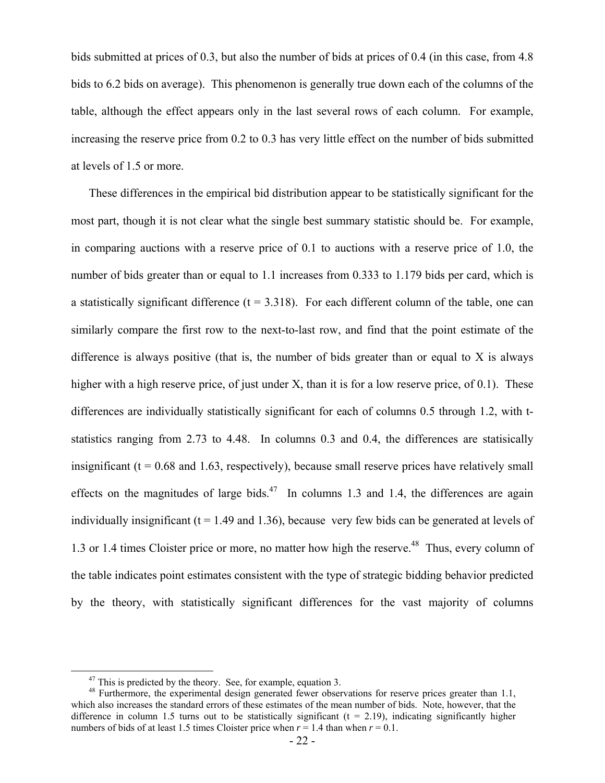bids submitted at prices of 0.3, but also the number of bids at prices of 0.4 (in this case, from 4.8 bids to 6.2 bids on average). This phenomenon is generally true down each of the columns of the table, although the effect appears only in the last several rows of each column. For example, increasing the reserve price from 0.2 to 0.3 has very little effect on the number of bids submitted at levels of 1.5 or more.

These differences in the empirical bid distribution appear to be statistically significant for the most part, though it is not clear what the single best summary statistic should be. For example, in comparing auctions with a reserve price of 0.1 to auctions with a reserve price of 1.0, the number of bids greater than or equal to 1.1 increases from 0.333 to 1.179 bids per card, which is a statistically significant difference  $(t = 3.318)$ . For each different column of the table, one can similarly compare the first row to the next-to-last row, and find that the point estimate of the difference is always positive (that is, the number of bids greater than or equal to  $X$  is always higher with a high reserve price, of just under X, than it is for a low reserve price, of 0.1). These differences are individually statistically significant for each of columns 0.5 through 1.2, with tstatistics ranging from 2.73 to 4.48. In columns 0.3 and 0.4, the differences are statisically insignificant ( $t = 0.68$  and 1.63, respectively), because small reserve prices have relatively small effects on the magnitudes of large bids.<sup>47</sup> In columns 1.3 and 1.4, the differences are again individually insignificant ( $t = 1.49$  and 1.36), because very few bids can be generated at levels of 1.3 or 1.4 times Cloister price or more, no matter how high the reserve.<sup>48</sup> Thus, every column of the table indicates point estimates consistent with the type of strategic bidding behavior predicted by the theory, with statistically significant differences for the vast majority of columns

<sup>&</sup>lt;sup>47</sup> This is predicted by the theory. See, for example, equation 3.<br><sup>48</sup> Furthermore, the experimental design generated fewer observations for reserve prices greater than 1.1, which also increases the standard errors of these estimates of the mean number of bids. Note, however, that the difference in column 1.5 turns out to be statistically significant  $(t = 2.19)$ , indicating significantly higher numbers of bids of at least 1.5 times Cloister price when  $r = 1.4$  than when  $r = 0.1$ .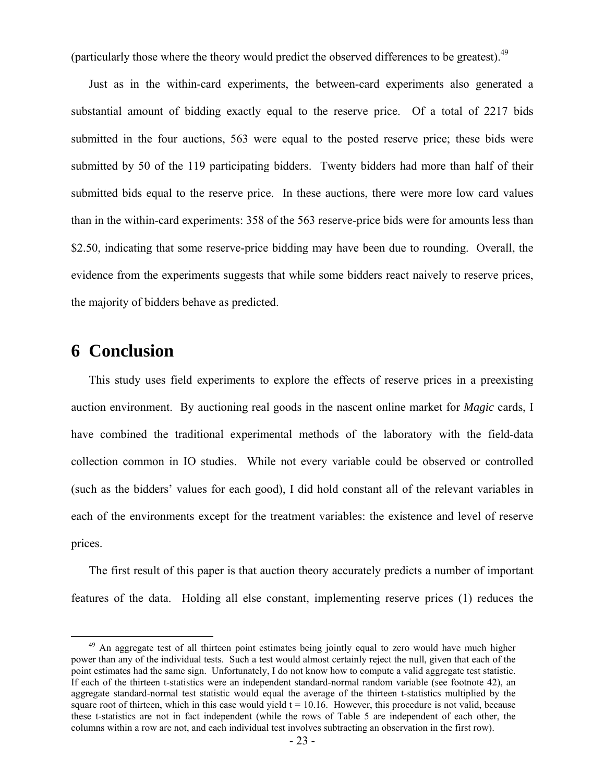(particularly those where the theory would predict the observed differences to be greatest).<sup>49</sup>

Just as in the within-card experiments, the between-card experiments also generated a substantial amount of bidding exactly equal to the reserve price. Of a total of 2217 bids submitted in the four auctions, 563 were equal to the posted reserve price; these bids were submitted by 50 of the 119 participating bidders. Twenty bidders had more than half of their submitted bids equal to the reserve price. In these auctions, there were more low card values than in the within-card experiments: 358 of the 563 reserve-price bids were for amounts less than \$2.50, indicating that some reserve-price bidding may have been due to rounding. Overall, the evidence from the experiments suggests that while some bidders react naively to reserve prices, the majority of bidders behave as predicted.

### **6 Conclusion**

 $\overline{a}$ 

This study uses field experiments to explore the effects of reserve prices in a preexisting auction environment. By auctioning real goods in the nascent online market for *Magic* cards, I have combined the traditional experimental methods of the laboratory with the field-data collection common in IO studies. While not every variable could be observed or controlled (such as the bidders' values for each good), I did hold constant all of the relevant variables in each of the environments except for the treatment variables: the existence and level of reserve prices.

The first result of this paper is that auction theory accurately predicts a number of important features of the data. Holding all else constant, implementing reserve prices (1) reduces the

<sup>&</sup>lt;sup>49</sup> An aggregate test of all thirteen point estimates being jointly equal to zero would have much higher power than any of the individual tests. Such a test would almost certainly reject the null, given that each of the point estimates had the same sign. Unfortunately, I do not know how to compute a valid aggregate test statistic. If each of the thirteen t-statistics were an independent standard-normal random variable (see footnote 42), an aggregate standard-normal test statistic would equal the average of the thirteen t-statistics multiplied by the square root of thirteen, which in this case would yield  $t = 10.16$ . However, this procedure is not valid, because these t-statistics are not in fact independent (while the rows of Table 5 are independent of each other, the columns within a row are not, and each individual test involves subtracting an observation in the first row).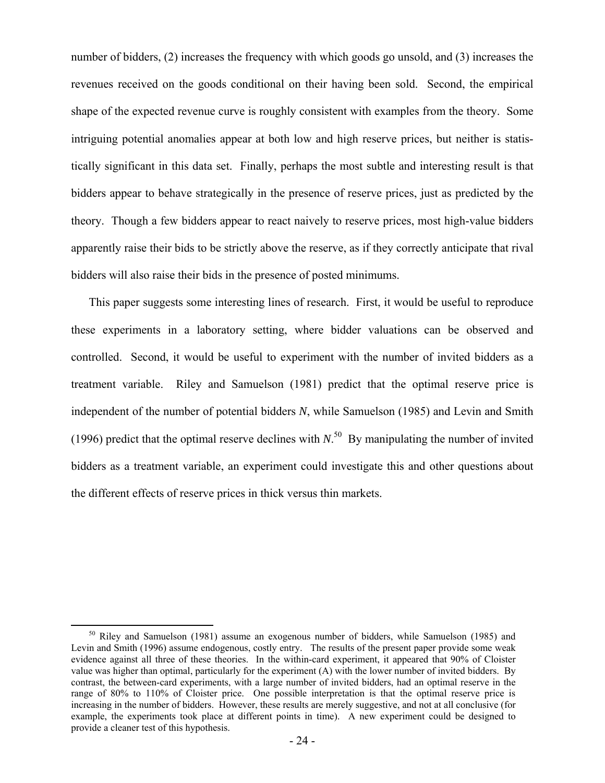number of bidders, (2) increases the frequency with which goods go unsold, and (3) increases the revenues received on the goods conditional on their having been sold. Second, the empirical shape of the expected revenue curve is roughly consistent with examples from the theory. Some intriguing potential anomalies appear at both low and high reserve prices, but neither is statistically significant in this data set. Finally, perhaps the most subtle and interesting result is that bidders appear to behave strategically in the presence of reserve prices, just as predicted by the theory. Though a few bidders appear to react naively to reserve prices, most high-value bidders apparently raise their bids to be strictly above the reserve, as if they correctly anticipate that rival bidders will also raise their bids in the presence of posted minimums.

This paper suggests some interesting lines of research. First, it would be useful to reproduce these experiments in a laboratory setting, where bidder valuations can be observed and controlled. Second, it would be useful to experiment with the number of invited bidders as a treatment variable. Riley and Samuelson (1981) predict that the optimal reserve price is independent of the number of potential bidders *N*, while Samuelson (1985) and Levin and Smith (1996) predict that the optimal reserve declines with  $N$ <sup>50</sup> By manipulating the number of invited bidders as a treatment variable, an experiment could investigate this and other questions about the different effects of reserve prices in thick versus thin markets.

<sup>&</sup>lt;sup>50</sup> Riley and Samuelson (1981) assume an exogenous number of bidders, while Samuelson (1985) and Levin and Smith (1996) assume endogenous, costly entry. The results of the present paper provide some weak evidence against all three of these theories. In the within-card experiment, it appeared that 90% of Cloister value was higher than optimal, particularly for the experiment (A) with the lower number of invited bidders. By contrast, the between-card experiments, with a large number of invited bidders, had an optimal reserve in the range of 80% to 110% of Cloister price. One possible interpretation is that the optimal reserve price is increasing in the number of bidders. However, these results are merely suggestive, and not at all conclusive (for example, the experiments took place at different points in time). A new experiment could be designed to provide a cleaner test of this hypothesis.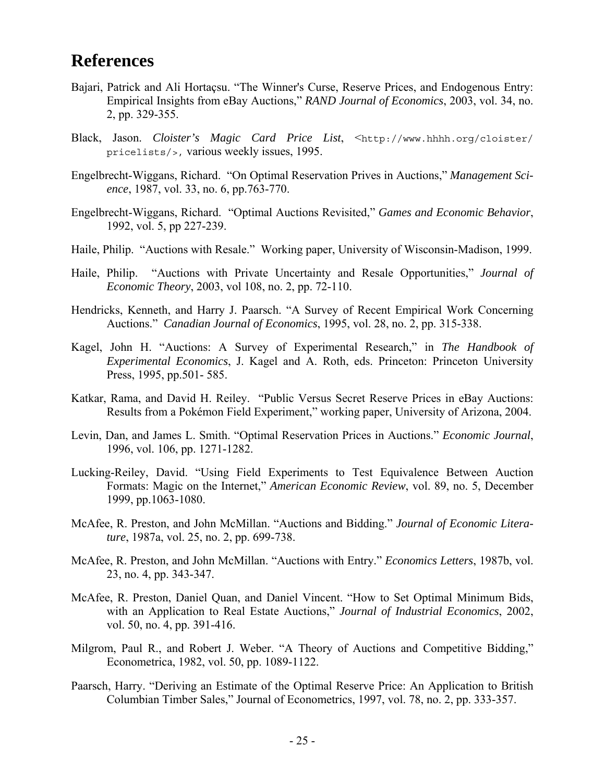## **References**

- Bajari, Patrick and Ali Hortaçsu. "The Winner's Curse, Reserve Prices, and Endogenous Entry: Empirical Insights from eBay Auctions," *RAND Journal of Economics*, 2003, vol. 34, no. 2, pp. 329-355.
- Black, Jason. *Cloister's Magic Card Price List*, <http://www.hhhh.org/cloister/ pricelists/>, various weekly issues, 1995.
- Engelbrecht-Wiggans, Richard. "On Optimal Reservation Prives in Auctions," *Management Science*, 1987, vol. 33, no. 6, pp.763-770.
- Engelbrecht-Wiggans, Richard. "Optimal Auctions Revisited," *Games and Economic Behavior*, 1992, vol. 5, pp 227-239.
- Haile, Philip. "Auctions with Resale." Working paper, University of Wisconsin-Madison, 1999.
- Haile, Philip. "Auctions with Private Uncertainty and Resale Opportunities," *Journal of Economic Theory*, 2003, vol 108, no. 2, pp. 72-110.
- Hendricks, Kenneth, and Harry J. Paarsch. "A Survey of Recent Empirical Work Concerning Auctions." *Canadian Journal of Economics*, 1995, vol. 28, no. 2, pp. 315-338.
- Kagel, John H. "Auctions: A Survey of Experimental Research," in *The Handbook of Experimental Economics*, J. Kagel and A. Roth, eds. Princeton: Princeton University Press, 1995, pp.501- 585.
- Katkar, Rama, and David H. Reiley. "Public Versus Secret Reserve Prices in eBay Auctions: Results from a Pokémon Field Experiment," working paper, University of Arizona, 2004.
- Levin, Dan, and James L. Smith. "Optimal Reservation Prices in Auctions." *Economic Journal*, 1996, vol. 106, pp. 1271-1282.
- Lucking-Reiley, David. "Using Field Experiments to Test Equivalence Between Auction Formats: Magic on the Internet," *American Economic Review*, vol. 89, no. 5, December 1999, pp.1063-1080.
- McAfee, R. Preston, and John McMillan. "Auctions and Bidding." *Journal of Economic Literature*, 1987a, vol. 25, no. 2, pp. 699-738.
- McAfee, R. Preston, and John McMillan. "Auctions with Entry." *Economics Letters*, 1987b, vol. 23, no. 4, pp. 343-347.
- McAfee, R. Preston, Daniel Quan, and Daniel Vincent. "How to Set Optimal Minimum Bids, with an Application to Real Estate Auctions," *Journal of Industrial Economics*, 2002, vol. 50, no. 4, pp. 391-416.
- Milgrom, Paul R., and Robert J. Weber. "A Theory of Auctions and Competitive Bidding," Econometrica, 1982, vol. 50, pp. 1089-1122.
- Paarsch, Harry. "Deriving an Estimate of the Optimal Reserve Price: An Application to British Columbian Timber Sales," Journal of Econometrics, 1997, vol. 78, no. 2, pp. 333-357.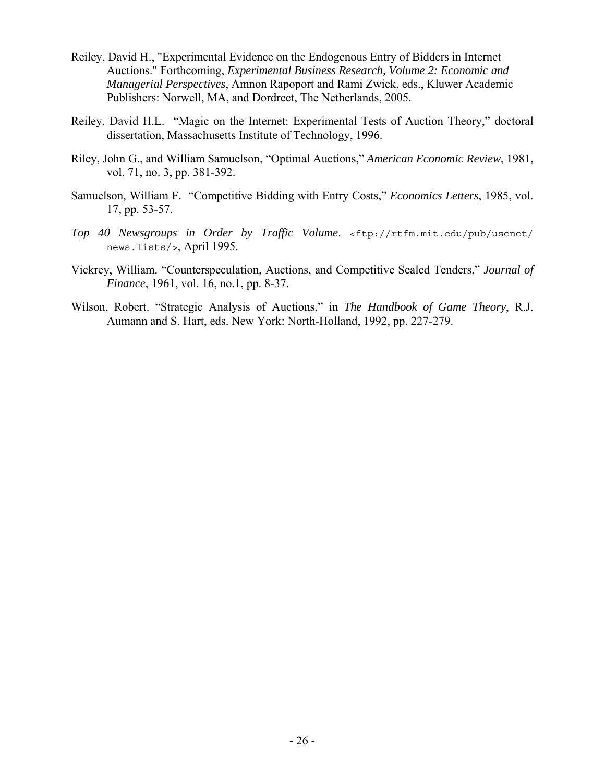- Reiley, David H., "Experimental Evidence on the Endogenous Entry of Bidders in Internet Auctions." Forthcoming, *Experimental Business Research, Volume 2: Economic and Managerial Perspectives*, Amnon Rapoport and Rami Zwick, eds., Kluwer Academic Publishers: Norwell, MA, and Dordrect, The Netherlands, 2005.
- Reiley, David H.L. "Magic on the Internet: Experimental Tests of Auction Theory," doctoral dissertation, Massachusetts Institute of Technology, 1996.
- Riley, John G., and William Samuelson, "Optimal Auctions," *American Economic Review*, 1981, vol. 71, no. 3, pp. 381-392.
- Samuelson, William F. "Competitive Bidding with Entry Costs," *Economics Letters*, 1985, vol. 17, pp. 53-57.
- *Top 40 Newsgroups in Order by Traffic Volume*. <ftp://rtfm.mit.edu/pub/usenet/ news.lists/>, April 1995.
- Vickrey, William. "Counterspeculation, Auctions, and Competitive Sealed Tenders," *Journal of Finance*, 1961, vol. 16, no.1, pp. 8-37.
- Wilson, Robert. "Strategic Analysis of Auctions," in *The Handbook of Game Theory*, R.J. Aumann and S. Hart, eds. New York: North-Holland, 1992, pp. 227-279.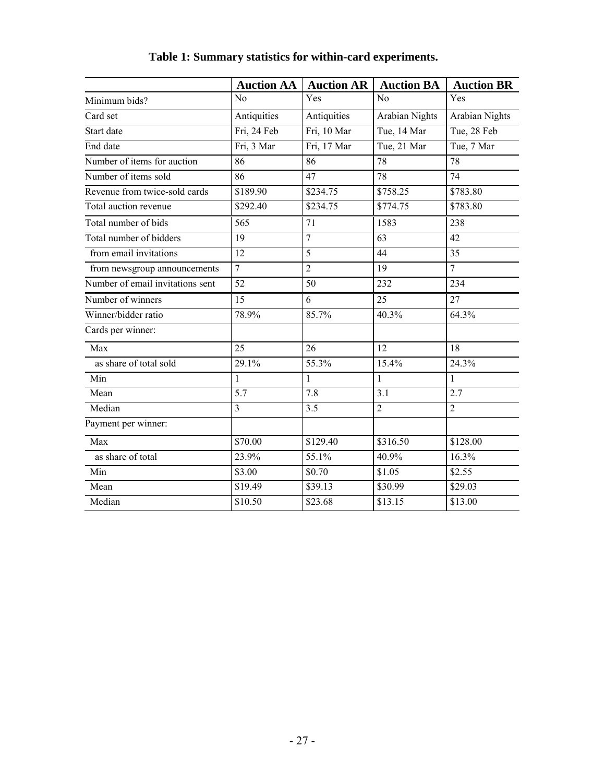|                                  | <b>Auction AA</b> | <b>Auction AR</b>                | <b>Auction BA</b> | <b>Auction BR</b>     |  |  |
|----------------------------------|-------------------|----------------------------------|-------------------|-----------------------|--|--|
| Minimum bids?                    | N <sub>0</sub>    | Yes                              | No                | Yes                   |  |  |
| Card set                         | Antiquities       | <b>Antiquities</b>               | Arabian Nights    | <b>Arabian Nights</b> |  |  |
| Start date                       | Fri, 24 Feb       | $\overline{\text{Fri}}$ , 10 Mar | Tue, 14 Mar       | Tue, 28 Feb           |  |  |
| End date                         | Fri, 3 Mar        | Fri, 17 Mar                      | Tue, 21 Mar       | Tue, 7 Mar            |  |  |
| Number of items for auction      | 86                | 86                               | 78                | 78                    |  |  |
| Number of items sold             | 86                | 47                               | $\overline{78}$   | 74                    |  |  |
| Revenue from twice-sold cards    | \$189.90          | \$234.75                         | \$758.25          | \$783.80              |  |  |
| Total auction revenue            | \$292.40          | \$234.75                         | \$774.75          | \$783.80              |  |  |
| Total number of bids             | 565               | 71                               | 1583              | 238                   |  |  |
| Total number of bidders          | 19                | $\overline{7}$                   | 63                | 42                    |  |  |
| from email invitations           | 12                | 5                                | 44                | $\overline{35}$       |  |  |
| from newsgroup announcements     | $\overline{7}$    | $\overline{2}$                   | 19                | $\overline{7}$        |  |  |
| Number of email invitations sent | 52                | $\overline{50}$                  | 232               | 234                   |  |  |
| Number of winners                | 15                | 6                                | 25                | 27                    |  |  |
| Winner/bidder ratio              | 78.9%             | 85.7%                            | 40.3%             | 64.3%                 |  |  |
| Cards per winner:                |                   |                                  |                   |                       |  |  |
| Max                              | 25                | 26                               | 12                | 18                    |  |  |
| as share of total sold           | 29.1%             | 55.3%                            | 15.4%             | 24.3%                 |  |  |
| Min                              | $\mathbf{1}$      | $\mathbf{1}$                     | $\mathbf{1}$      | 1                     |  |  |
| Mean                             | $\overline{5.7}$  | 7.8                              | 3.1               | 2.7                   |  |  |
| Median                           | 3                 | 3.5                              | $\overline{2}$    | $\overline{2}$        |  |  |
| Payment per winner:              |                   |                                  |                   |                       |  |  |
| Max                              | \$70.00           | \$129.40                         | \$316.50          | \$128.00              |  |  |
| as share of total                | 23.9%             | 55.1%                            | 40.9%             | 16.3%                 |  |  |
| Min                              | \$3.00            | \$0.70                           | \$1.05            | \$2.55                |  |  |
| Mean                             | \$19.49           | \$39.13                          | \$30.99           | \$29.03               |  |  |
| Median                           | \$10.50           | \$23.68                          | \$13.15           | \$13.00               |  |  |

### **Table 1: Summary statistics for within-card experiments.**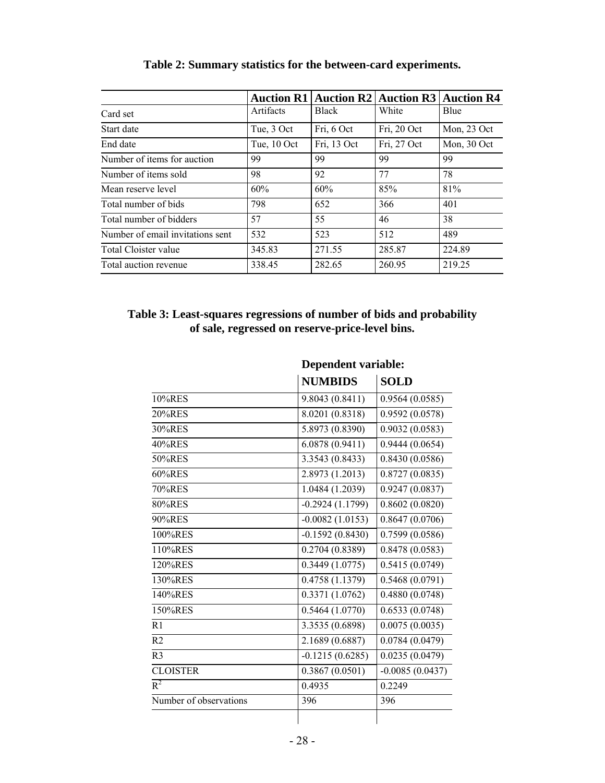|                                  |               | <b>Auction R1   Auction R2   Auction R3</b> |             | <b>Auction R4</b> |
|----------------------------------|---------------|---------------------------------------------|-------------|-------------------|
| Card set                         | Artifacts     | <b>Black</b>                                | White       | Blue              |
| Start date                       | Tue, 3 Oct    | Fri, 6 Oct                                  | Fri, 20 Oct | Mon, $23$ Oct     |
| End date                         | Tue, $10$ Oct | Fri, 13 Oct                                 | Fri, 27 Oct | Mon, 30 Oct       |
| Number of items for auction      | 99            | 99                                          | 99          | 99                |
| Number of items sold             | 98            | 92                                          | 77          | 78                |
| Mean reserve level               | 60%           | 60%                                         | 85%         | 81%               |
| Total number of bids             | 798           | 652                                         | 366         | 401               |
| Total number of bidders          | 57            | 55                                          | 46          | 38                |
| Number of email invitations sent | 532           | 523                                         | 512         | 489               |
| Total Cloister value             | 345.83        | 271.55                                      | 285.87      | 224.89            |
| Total auction revenue            | 338.45        | 282.65                                      | 260.95      | 219.25            |

### **Table 2: Summary statistics for the between-card experiments.**

#### **Table 3: Least-squares regressions of number of bids and probability of sale, regressed on reserve-price-level bins.**

|                        |                   | Dependent variable: |  |  |  |  |  |
|------------------------|-------------------|---------------------|--|--|--|--|--|
|                        | <b>NUMBIDS</b>    | <b>SOLD</b>         |  |  |  |  |  |
| 10%RES                 | 9.8043 (0.8411)   | 0.9564(0.0585)      |  |  |  |  |  |
| <b>20%RES</b>          | 8.0201 (0.8318)   | 0.9592(0.0578)      |  |  |  |  |  |
| 30%RES                 | 5.8973 (0.8390)   | 0.9032(0.0583)      |  |  |  |  |  |
| 40%RES                 | 6.0878(0.9411)    | 0.9444(0.0654)      |  |  |  |  |  |
| 50%RES                 | 3.3543 (0.8433)   | 0.8430(0.0586)      |  |  |  |  |  |
| 60%RES                 | 2.8973 (1.2013)   | 0.8727(0.0835)      |  |  |  |  |  |
| 70%RES                 | 1.0484 (1.2039)   | 0.9247(0.0837)      |  |  |  |  |  |
| 80%RES                 | $-0.2924(1.1799)$ | 0.8602(0.0820)      |  |  |  |  |  |
| 90%RES                 | $-0.0082(1.0153)$ | 0.8647(0.0706)      |  |  |  |  |  |
| 100%RES                | $-0.1592(0.8430)$ | 0.7599(0.0586)      |  |  |  |  |  |
| 110%RES                | 0.2704(0.8389)    | 0.8478(0.0583)      |  |  |  |  |  |
| 120%RES                | 0.3449(1.0775)    | 0.5415(0.0749)      |  |  |  |  |  |
| 130%RES                | 0.4758 (1.1379)   | 0.5468(0.0791)      |  |  |  |  |  |
| 140%RES                | 0.3371(1.0762)    | 0.4880(0.0748)      |  |  |  |  |  |
| 150%RES                | 0.5464(1.0770)    | 0.6533(0.0748)      |  |  |  |  |  |
| R1                     | 3.3535 (0.6898)   | 0.0075(0.0035)      |  |  |  |  |  |
| R <sub>2</sub>         | 2.1689 (0.6887)   | 0.0784(0.0479)      |  |  |  |  |  |
| R <sub>3</sub>         | $-0.1215(0.6285)$ | 0.0235(0.0479)      |  |  |  |  |  |
| <b>CLOISTER</b>        | 0.3867(0.0501)    | $-0.0085(0.0437)$   |  |  |  |  |  |
| $R^2$                  | 0.4935            | 0.2249              |  |  |  |  |  |
| Number of observations | 396               | 396                 |  |  |  |  |  |
|                        |                   |                     |  |  |  |  |  |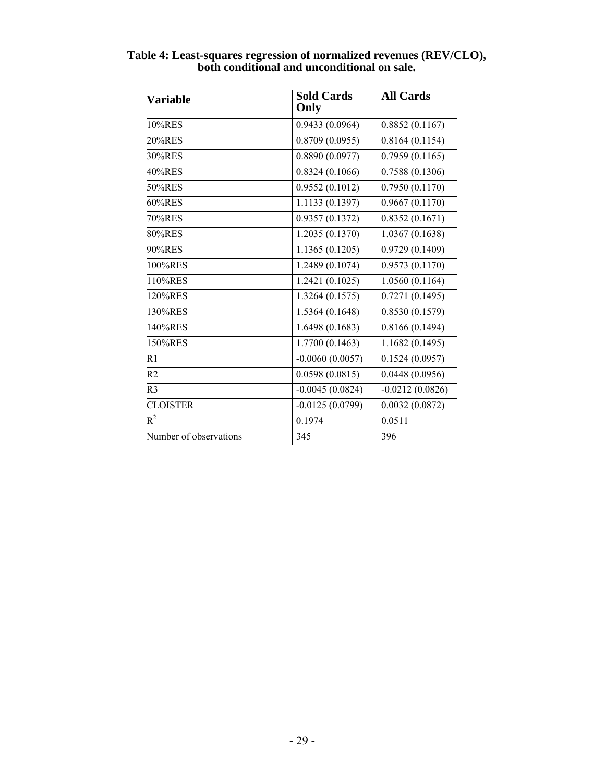| <b>Variable</b>        | <b>Sold Cards</b><br>Only | <b>All Cards</b>  |
|------------------------|---------------------------|-------------------|
| 10%RES                 | 0.9433(0.0964)            | 0.8852(0.1167)    |
| 20%RES                 | 0.8709(0.0955)            | 0.8164(0.1154)    |
| 30%RES                 | 0.8890(0.0977)            | 0.7959(0.1165)    |
| 40%RES                 | 0.8324(0.1066)            | 0.7588(0.1306)    |
| 50%RES                 | 0.9552(0.1012)            | 0.7950(0.1170)    |
| 60%RES                 | 1.1133 (0.1397)           | 0.9667(0.1170)    |
| 70%RES                 | 0.9357(0.1372)            | 0.8352(0.1671)    |
| 80%RES                 | 1.2035(0.1370)            | 1.0367(0.1638)    |
| 90%RES                 | 1.1365 (0.1205)           | 0.9729(0.1409)    |
| 100%RES                | 1.2489 (0.1074)           | 0.9573(0.1170)    |
| 110%RES                | 1.2421(0.1025)            | 1.0560(0.1164)    |
| 120%RES                | 1.3264(0.1575)            | 0.7271(0.1495)    |
| 130%RES                | 1.5364 (0.1648)           | 0.8530(0.1579)    |
| 140%RES                | 1.6498(0.1683)            | 0.8166(0.1494)    |
| 150%RES                | 1.7700(0.1463)            | 1.1682(0.1495)    |
| R <sub>1</sub>         | $-0.0060(0.0057)$         | 0.1524(0.0957)    |
| R <sub>2</sub>         | 0.0598(0.0815)            | 0.0448(0.0956)    |
| R <sub>3</sub>         | $-0.0045(0.0824)$         | $-0.0212(0.0826)$ |
| <b>CLOISTER</b>        | $-0.0125(0.0799)$         | 0.0032(0.0872)    |
| $\overline{R^2}$       | 0.1974                    | 0.0511            |
| Number of observations | 345                       | 396               |

#### **Table 4: Least-squares regression of normalized revenues (REV/CLO), both conditional and unconditional on sale.**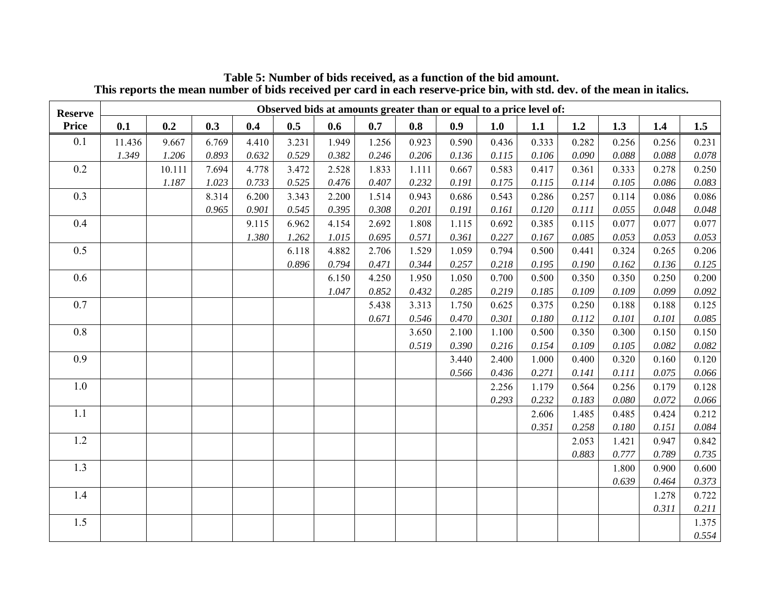| <b>Reserve</b> | Observed bids at amounts greater than or equal to a price level of: |        |       |       |       |       |           |       |       |       |           |       |       |       |           |
|----------------|---------------------------------------------------------------------|--------|-------|-------|-------|-------|-----------|-------|-------|-------|-----------|-------|-------|-------|-----------|
| <b>Price</b>   | 0.1                                                                 | 0.2    | 0.3   | 0.4   | 0.5   | 0.6   | 0.7       | 0.8   | 0.9   | 1.0   | 1.1       | 1.2   | 1.3   | 1.4   | 1.5       |
| 0.1            | 11.436                                                              | 9.667  | 6.769 | 4.410 | 3.231 | 1.949 | 1.256     | 0.923 | 0.590 | 0.436 | 0.333     | 0.282 | 0.256 | 0.256 | 0.231     |
|                | 1.349                                                               | 1.206  | 0.893 | 0.632 | 0.529 | 0.382 | 0.246     | 0.206 | 0.136 | 0.115 | 0.106     | 0.090 | 0.088 | 0.088 | $0.078\,$ |
| 0.2            |                                                                     | 10.111 | 7.694 | 4.778 | 3.472 | 2.528 | 1.833     | 1.111 | 0.667 | 0.583 | 0.417     | 0.361 | 0.333 | 0.278 | 0.250     |
|                |                                                                     | 1.187  | 1.023 | 0.733 | 0.525 | 0.476 | $0.407\,$ | 0.232 | 0.191 | 0.175 | 0.115     | 0.114 | 0.105 | 0.086 | 0.083     |
| 0.3            |                                                                     |        | 8.314 | 6.200 | 3.343 | 2.200 | 1.514     | 0.943 | 0.686 | 0.543 | 0.286     | 0.257 | 0.114 | 0.086 | 0.086     |
|                |                                                                     |        | 0.965 | 0.901 | 0.545 | 0.395 | 0.308     | 0.201 | 0.191 | 0.161 | 0.120     | 0.111 | 0.055 | 0.048 | 0.048     |
| 0.4            |                                                                     |        |       | 9.115 | 6.962 | 4.154 | 2.692     | 1.808 | 1.115 | 0.692 | 0.385     | 0.115 | 0.077 | 0.077 | 0.077     |
|                |                                                                     |        |       | 1.380 | 1.262 | 1.015 | 0.695     | 0.571 | 0.361 | 0.227 | 0.167     | 0.085 | 0.053 | 0.053 | 0.053     |
| 0.5            |                                                                     |        |       |       | 6.118 | 4.882 | 2.706     | 1.529 | 1.059 | 0.794 | 0.500     | 0.441 | 0.324 | 0.265 | 0.206     |
|                |                                                                     |        |       |       | 0.896 | 0.794 | 0.471     | 0.344 | 0.257 | 0.218 | 0.195     | 0.190 | 0.162 | 0.136 | 0.125     |
| 0.6            |                                                                     |        |       |       |       | 6.150 | 4.250     | 1.950 | 1.050 | 0.700 | 0.500     | 0.350 | 0.350 | 0.250 | 0.200     |
|                |                                                                     |        |       |       |       | 1.047 | 0.852     | 0.432 | 0.285 | 0.219 | 0.185     | 0.109 | 0.109 | 0.099 | 0.092     |
| 0.7            |                                                                     |        |       |       |       |       | 5.438     | 3.313 | 1.750 | 0.625 | 0.375     | 0.250 | 0.188 | 0.188 | 0.125     |
|                |                                                                     |        |       |       |       |       | 0.671     | 0.546 | 0.470 | 0.301 | $0.180\,$ | 0.112 | 0.101 | 0.101 | 0.085     |
| 0.8            |                                                                     |        |       |       |       |       |           | 3.650 | 2.100 | 1.100 | 0.500     | 0.350 | 0.300 | 0.150 | 0.150     |
|                |                                                                     |        |       |       |       |       |           | 0.519 | 0.390 | 0.216 | 0.154     | 0.109 | 0.105 | 0.082 | 0.082     |
| 0.9            |                                                                     |        |       |       |       |       |           |       | 3.440 | 2.400 | 1.000     | 0.400 | 0.320 | 0.160 | 0.120     |
|                |                                                                     |        |       |       |       |       |           |       | 0.566 | 0.436 | 0.271     | 0.141 | 0.111 | 0.075 | 0.066     |
| 1.0            |                                                                     |        |       |       |       |       |           |       |       | 2.256 | 1.179     | 0.564 | 0.256 | 0.179 | 0.128     |
|                |                                                                     |        |       |       |       |       |           |       |       | 0.293 | 0.232     | 0.183 | 0.080 | 0.072 | 0.066     |
| 1.1            |                                                                     |        |       |       |       |       |           |       |       |       | 2.606     | 1.485 | 0.485 | 0.424 | 0.212     |
|                |                                                                     |        |       |       |       |       |           |       |       |       | 0.351     | 0.258 | 0.180 | 0.151 | 0.084     |
| 1.2            |                                                                     |        |       |       |       |       |           |       |       |       |           | 2.053 | 1.421 | 0.947 | 0.842     |
|                |                                                                     |        |       |       |       |       |           |       |       |       |           | 0.883 | 0.777 | 0.789 | 0.735     |
| 1.3            |                                                                     |        |       |       |       |       |           |       |       |       |           |       | 1.800 | 0.900 | 0.600     |
|                |                                                                     |        |       |       |       |       |           |       |       |       |           |       | 0.639 | 0.464 | 0.373     |
| 1.4            |                                                                     |        |       |       |       |       |           |       |       |       |           |       |       | 1.278 | 0.722     |
|                |                                                                     |        |       |       |       |       |           |       |       |       |           |       |       | 0.311 | 0.211     |
| 1.5            |                                                                     |        |       |       |       |       |           |       |       |       |           |       |       |       | 1.375     |
|                |                                                                     |        |       |       |       |       |           |       |       |       |           |       |       |       | 0.554     |

**Table 5: Number of bids received, as a function of the bid amount. This reports the mean number of bids received per card in each reserve-price bin, with std. dev. of the mean in italics.**